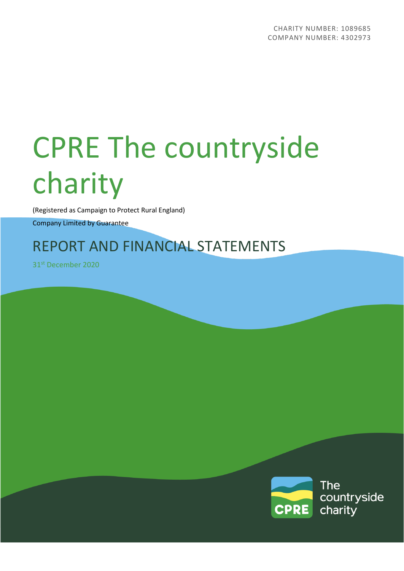(Registered as Campaign to Protect Rural England)

Company Limited by Guarantee

# REPORT AND FINANCIAL STATEMENTS

31st December 2020

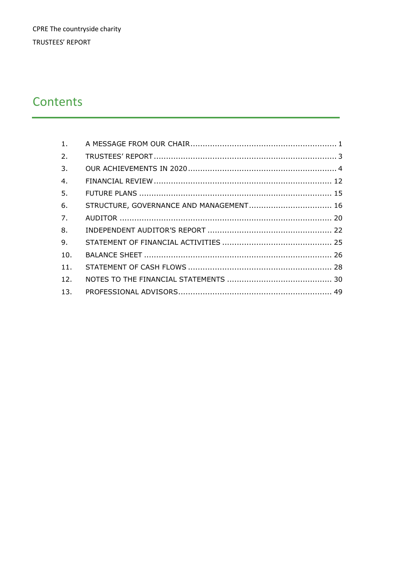# Contents

| $\mathbf{1}$ .  |  |
|-----------------|--|
| 2.              |  |
| 3.              |  |
| 4.              |  |
| 5.              |  |
| 6.              |  |
| 7.              |  |
| 8.              |  |
| 9.              |  |
| 10.             |  |
| 11.             |  |
| 12 <sub>1</sub> |  |
| 13.             |  |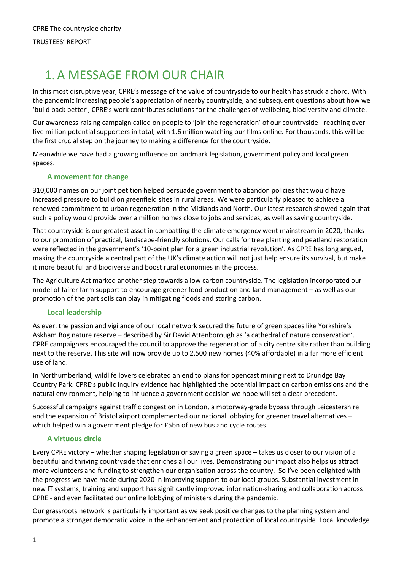# <span id="page-2-0"></span>1.A MESSAGE FROM OUR CHAIR

In this most disruptive year, CPRE's message of the value of countryside to our health has struck a chord. With the pandemic increasing people's appreciation of nearby countryside, and subsequent questions about how we 'build back better', CPRE's work contributes solutions for the challenges of wellbeing, biodiversity and climate.

Our awareness-raising campaign called on people to 'join the regeneration' of our countryside - reaching over five million potential supporters in total, with 1.6 million watching our films online. For thousands, this will be the first crucial step on the journey to making a difference for the countryside.

Meanwhile we have had a growing influence on landmark legislation, government policy and local green spaces.

#### **A movement for change**

310,000 names on our joint petition helped persuade government to abandon policies that would have increased pressure to build on greenfield sites in rural areas. We were particularly pleased to achieve a renewed commitment to urban regeneration in the Midlands and North. Our latest research showed again that such a policy would provide over a million homes close to jobs and services, as well as saving countryside.

That countryside is our greatest asset in combatting the climate emergency went mainstream in 2020, thanks to our promotion of practical, landscape-friendly solutions. Our calls for tree planting and peatland restoration were reflected in the government's '10-point plan for a green industrial revolution'. As CPRE has long argued, making the countryside a central part of the UK's climate action will not just help ensure its survival, but make it more beautiful and biodiverse and boost rural economies in the process.

The Agriculture Act marked another step towards a low carbon countryside. The legislation incorporated our model of fairer farm support to encourage greener food production and land management – as well as our promotion of the part soils can play in mitigating floods and storing carbon.

#### **Local leadership**

As ever, the passion and vigilance of our local network secured the future of green spaces like Yorkshire's Askham Bog nature reserve – described by Sir David Attenborough as 'a cathedral of nature conservation'. CPRE campaigners encouraged the council to approve the regeneration of a city centre site rather than building next to the reserve. This site will now provide up to 2,500 new homes (40% affordable) in a far more efficient use of land.

In Northumberland, wildlife lovers celebrated an end to plans for opencast mining next to Druridge Bay Country Park. CPRE's public inquiry evidence had highlighted the potential impact on carbon emissions and the natural environment, helping to influence a government decision we hope will set a clear precedent.

Successful campaigns against traffic congestion in London, a motorway-grade bypass through Leicestershire and the expansion of Bristol airport complemented our national lobbying for greener travel alternatives – which helped win a government pledge for £5bn of new bus and cycle routes.

#### **A virtuous circle**

Every CPRE victory – whether shaping legislation or saving a green space – takes us closer to our vision of a beautiful and thriving countryside that enriches all our lives. Demonstrating our impact also helps us attract more volunteers and funding to strengthen our organisation across the country. So I've been delighted with the progress we have made during 2020 in improving support to our local groups. Substantial investment in new IT systems, training and support has significantly improved information-sharing and collaboration across CPRE - and even facilitated our online lobbying of ministers during the pandemic.

Our grassroots network is particularly important as we seek positive changes to the planning system and promote a stronger democratic voice in the enhancement and protection of local countryside. Local knowledge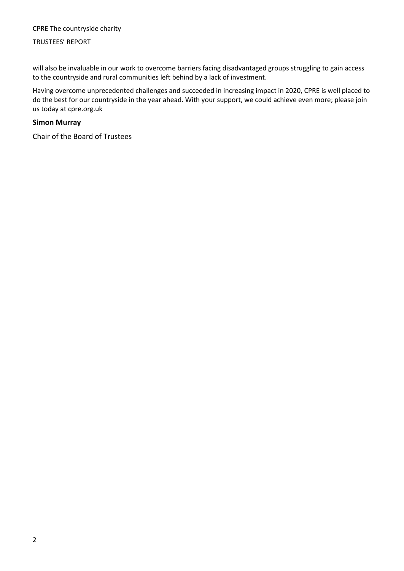#### TRUSTEES' REPORT

will also be invaluable in our work to overcome barriers facing disadvantaged groups struggling to gain access to the countryside and rural communities left behind by a lack of investment.

Having overcome unprecedented challenges and succeeded in increasing impact in 2020, CPRE is well placed to do the best for our countryside in the year ahead. With your support, we could achieve even more; please join us today at cpre.org.uk

#### **Simon Murray**

Chair of the Board of Trustees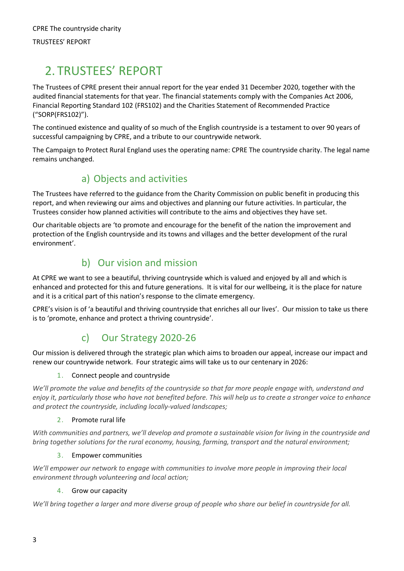# <span id="page-4-0"></span>2. TRUSTEES' REPORT

The Trustees of CPRE present their annual report for the year ended 31 December 2020, together with the audited financial statements for that year. The financial statements comply with the Companies Act 2006, Financial Reporting Standard 102 (FRS102) and the Charities Statement of Recommended Practice ("SORP(FRS102)").

The continued existence and quality of so much of the English countryside is a testament to over 90 years of successful campaigning by CPRE, and a tribute to our countrywide network.

The Campaign to Protect Rural England uses the operating name: CPRE The countryside charity. The legal name remains unchanged.

### a) Objects and activities

The Trustees have referred to the guidance from the Charity Commission on public benefit in producing this report, and when reviewing our aims and objectives and planning our future activities. In particular, the Trustees consider how planned activities will contribute to the aims and objectives they have set.

Our charitable objects are 'to promote and encourage for the benefit of the nation the improvement and protection of the English countryside and its towns and villages and the better development of the rural environment'.

### b) Our vision and mission

At CPRE we want to see a beautiful, thriving countryside which is valued and enjoyed by all and which is enhanced and protected for this and future generations. It is vital for our wellbeing, it is the place for nature and it is a critical part of this nation's response to the climate emergency.

CPRE's vision is of 'a beautiful and thriving countryside that enriches all our lives'. Our mission to take us there is to 'promote, enhance and protect a thriving countryside'.

### c) Our Strategy 2020-26

Our mission is delivered through the strategic plan which aims to broaden our appeal, increase our impact and renew our countrywide network. Four strategic aims will take us to our centenary in 2026:

#### 1. Connect people and countryside

*We'll promote the value and benefits of the countryside so that far more people engage with, understand and enjoy it, particularly those who have not benefited before. This will help us to create a stronger voice to enhance and protect the countryside, including locally-valued landscapes;*

#### 2. Promote rural life

*With communities and partners, we'll develop and promote a sustainable vision for living in the countryside and bring together solutions for the rural economy, housing, farming, transport and the natural environment;*

#### 3. Empower communities

*We'll empower our network to engage with communities to involve more people in improving their local environment through volunteering and local action;*

#### 4. Grow our capacity

*We'll bring together a larger and more diverse group of people who share our belief in countryside for all.*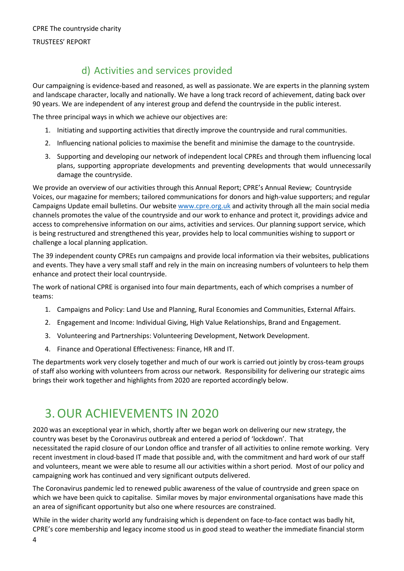#### TRUSTEES' REPORT

### d) Activities and services provided

Our campaigning is evidence-based and reasoned, as well as passionate. We are experts in the planning system and landscape character, locally and nationally. We have a long track record of achievement, dating back over 90 years. We are independent of any interest group and defend the countryside in the public interest.

The three principal ways in which we achieve our objectives are:

- 1. Initiating and supporting activities that directly improve the countryside and rural communities.
- 2. Influencing national policies to maximise the benefit and minimise the damage to the countryside.
- 3. Supporting and developing our network of independent local CPREs and through them influencing local plans, supporting appropriate developments and preventing developments that would unnecessarily damage the countryside.

We provide an overview of our activities through this Annual Report; CPRE's Annual Review; Countryside Voices, our magazine for members; tailored communications for donors and high-value supporters; and regular Campaigns Update email bulletins. Our website [www.cpre.org.uk](http://www.cpre.org.uk/) and activity through all the main social media channels promotes the value of the countryside and our work to enhance and protect it, providings advice and access to comprehensive information on our aims, activities and services. Our planning support service, which is being restructured and strengthened this year, provides help to local communities wishing to support or challenge a local planning application.

The 39 independent county CPREs run campaigns and provide local information via their websites, publications and events. They have a very small staff and rely in the main on increasing numbers of volunteers to help them enhance and protect their local countryside.

The work of national CPRE is organised into four main departments, each of which comprises a number of teams:

- 1. Campaigns and Policy: Land Use and Planning, Rural Economies and Communities, External Affairs.
- 2. Engagement and Income: Individual Giving, High Value Relationships, Brand and Engagement.
- 3. Volunteering and Partnerships: Volunteering Development, Network Development.
- 4. Finance and Operational Effectiveness: Finance, HR and IT.

The departments work very closely together and much of our work is carried out jointly by cross-team groups of staff also working with volunteers from across our network. Responsibility for delivering our strategic aims brings their work together and highlights from 2020 are reported accordingly below.

# <span id="page-5-0"></span>3.OUR ACHIEVEMENTS IN 2020

2020 was an exceptional year in which, shortly after we began work on delivering our new strategy, the country was beset by the Coronavirus outbreak and entered a period of 'lockdown'. That necessitated the rapid closure of our London office and transfer of all activities to online remote working. Very recent investment in cloud-based IT made that possible and, with the commitment and hard work of our staff and volunteers, meant we were able to resume all our activities within a short period. Most of our policy and campaigning work has continued and very significant outputs delivered.

The Coronavirus pandemic led to renewed public awareness of the value of countryside and green space on which we have been quick to capitalise. Similar moves by major environmental organisations have made this an area of significant opportunity but also one where resources are constrained.

While in the wider charity world any fundraising which is dependent on face-to-face contact was badly hit, CPRE's core membership and legacy income stood us in good stead to weather the immediate financial storm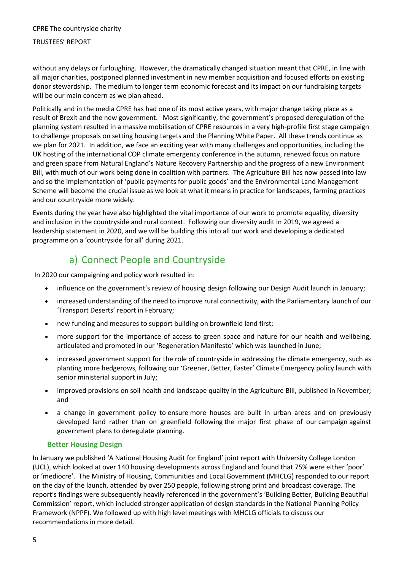#### TRUSTEES' REPORT

without any delays or furloughing. However, the dramatically changed situation meant that CPRE, in line with all major charities, postponed planned investment in new member acquisition and focused efforts on existing donor stewardship. The medium to longer term economic forecast and its impact on our fundraising targets will be our main concern as we plan ahead.

Politically and in the media CPRE has had one of its most active years, with major change taking place as a result of Brexit and the new government. Most significantly, the government's proposed deregulation of the planning system resulted in a massive mobilisation of CPRE resources in a very high-profile first stage campaign to challenge proposals on setting housing targets and the Planning White Paper. All these trends continue as we plan for 2021. In addition, we face an exciting year with many challenges and opportunities, including the UK hosting of the international COP climate emergency conference in the autumn, renewed focus on nature and green space from Natural England's Nature Recovery Partnership and the progress of a new Environment Bill, with much of our work being done in coalition with partners. The Agriculture Bill has now passed into law and so the implementation of 'public payments for public goods' and the Environmental Land Management Scheme will become the crucial issue as we look at what it means in practice for landscapes, farming practices and our countryside more widely.

Events during the year have also highlighted the vital importance of our work to promote equality, diversity and inclusion in the countryside and rural context. Following our diversity audit in 2019, we agreed a leadership statement in 2020, and we will be building this into all our work and developing a dedicated programme on a 'countryside for all' during 2021.

### a) Connect People and Countryside

In 2020 our campaigning and policy work resulted in:

- influence on the government's review of housing design following our Design Audit launch in January;
- increased understanding of the need to improve rural connectivity, with the Parliamentary launch of our 'Transport Deserts' report in February;
- new funding and measures to support building on brownfield land first;
- more support for the importance of access to green space and nature for our health and wellbeing, articulated and promoted in our 'Regeneration Manifesto' which was launched in June;
- increased government support for the role of countryside in addressing the climate emergency, such as planting more hedgerows, following our 'Greener, Better, Faster' Climate Emergency policy launch with senior ministerial support in July;
- improved provisions on soil health and landscape quality in the Agriculture Bill, published in November; and
- a change in government policy to ensure more houses are built in urban areas and on previously developed land rather than on greenfield following the major first phase of our campaign against government plans to deregulate planning.

#### **Better Housing Design**

In January we published 'A National Housing Audit for England' joint report with University College London (UCL), which looked at over 140 housing developments across England and found that 75% were either 'poor' or 'mediocre'. The Ministry of Housing, Communities and Local Government (MHCLG) responded to our report on the day of the launch, attended by over 250 people, following strong print and broadcast coverage. The report's findings were subsequently heavily referenced in the government's 'Building Better, Building Beautiful Commission' report, which included stronger application of design standards in the National Planning Policy Framework (NPPF). We followed up with high level meetings with MHCLG officials to discuss our recommendations in more detail.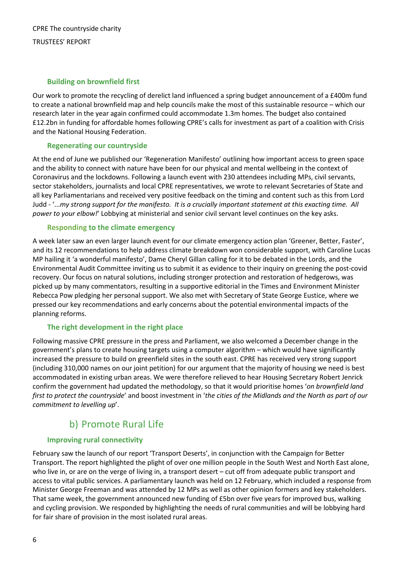#### **Building on brownfield first**

Our work to promote the recycling of derelict land influenced a spring budget announcement of a £400m fund to create a national brownfield map and help councils make the most of this sustainable resource – which our research later in the year again confirmed could accommodate 1.3m homes. The budget also contained £12.2bn in funding for affordable homes following CPRE's calls for investment as part of a coalition with Crisis and the National Housing Federation.

#### **Regenerating our countryside**

At the end of June we published our 'Regeneration Manifesto' outlining how important access to green space and the ability to connect with nature have been for our physical and mental wellbeing in the context of Coronavirus and the lockdowns. Following a launch event with 230 attendees including MPs, civil servants, sector stakeholders, journalists and local CPRE representatives, we wrote to relevant Secretaries of State and all key Parliamentarians and received very positive feedback on the timing and content such as this from Lord Judd - '...*my strong support for the manifesto. It is a crucially important statement at this exacting time. All power to your elbow!*' Lobbying at ministerial and senior civil servant level continues on the key asks.

#### **Responding to the climate emergency**

A week later saw an even larger launch event for our climate emergency action plan 'Greener, Better, Faster', and its 12 recommendations to help address climate breakdown won considerable support, with Caroline Lucas MP hailing it 'a wonderful manifesto', Dame Cheryl Gillan calling for it to be debated in the Lords, and the Environmental Audit Committee inviting us to submit it as evidence to their inquiry on greening the post-covid recovery. Our focus on natural solutions, including stronger protection and restoration of hedgerows, was picked up by many commentators, resulting in a supportive editorial in the Times and Environment Minister Rebecca Pow pledging her personal support. We also met with Secretary of State George Eustice, where we pressed our key recommendations and early concerns about the potential environmental impacts of the planning reforms.

#### **The right development in the right place**

Following massive CPRE pressure in the press and Parliament, we also welcomed a December change in the government's plans to create housing targets using a computer algorithm – which would have significantly increased the pressure to build on greenfield sites in the south east. CPRE has received very strong support (including 310,000 names on our joint petition) for our argument that the majority of housing we need is best accommodated in existing urban areas. We were therefore relieved to hear Housing Secretary Robert Jenrick confirm the government had updated the methodology, so that it would prioritise homes '*on brownfield land first to protect the countryside*' and boost investment in '*the cities of the Midlands and the North as part of our commitment to levelling up*'.

### b) Promote Rural Life

#### **Improving rural connectivity**

February saw the launch of our report 'Transport Deserts', in conjunction with the Campaign for Better Transport. The report highlighted the plight of over one million people in the South West and North East alone, who live in, or are on the verge of living in, a transport desert – cut off from adequate public transport and access to vital public services. A parliamentary launch was held on 12 February, which included a response from Minister George Freeman and was attended by 12 MPs as well as other opinion formers and key stakeholders. That same week, the government announced new funding of £5bn over five years for improved bus, walking and cycling provision. We responded by highlighting the needs of rural communities and will be lobbying hard for fair share of provision in the most isolated rural areas.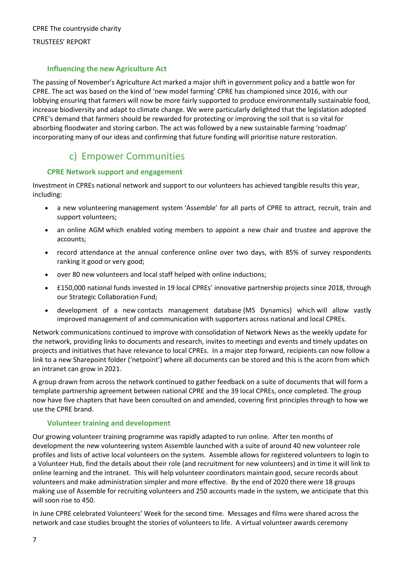#### TRUSTEES' REPORT

#### **Influencing the new Agriculture Act**

The passing of November's Agriculture Act marked a major shift in government policy and a battle won for CPRE. The act was based on the kind of 'new model farming' CPRE has championed since 2016, with our lobbying ensuring that farmers will now be more fairly supported to produce environmentally sustainable food, increase biodiversity and adapt to climate change. We were particularly delighted that the legislation adopted CPRE's demand that farmers should be rewarded for protecting or improving the soil that is so vital for absorbing floodwater and storing carbon. The act was followed by a new sustainable farming 'roadmap' incorporating many of our ideas and confirming that future funding will prioritise nature restoration.

### c) Empower Communities

#### **CPRE Network support and engagement**

Investment in CPREs national network and support to our volunteers has achieved tangible results this year, including:

- a new volunteering management system 'Assemble' for all parts of CPRE to attract, recruit, train and support volunteers;
- an online AGM which enabled voting members to appoint a new chair and trustee and approve the accounts;
- record attendance at the annual conference online over two days, with 85% of survey respondents ranking it good or very good;
- over 80 new volunteers and local staff helped with online inductions;
- £150,000 national funds invested in 19 local CPREs' innovative partnership projects since 2018, through our Strategic Collaboration Fund;
- development of a new contacts management database (MS Dynamics) which will allow vastly improved management of and communication with supporters across national and local CPREs.

Network communications continued to improve with consolidation of Network News as the weekly update for the network, providing links to documents and research, invites to meetings and events and timely updates on projects and initiatives that have relevance to local CPREs. In a major step forward, recipients can now follow a link to a new Sharepoint folder ('netpoint') where all documents can be stored and this is the acorn from which an intranet can grow in 2021.

A group drawn from across the network continued to gather feedback on a suite of documents that will form a template partnership agreement between national CPRE and the 39 local CPREs, once completed. The group now have five chapters that have been consulted on and amended, covering first principles through to how we use the CPRE brand.

#### **Volunteer training and development**

Our growing volunteer training programme was rapidly adapted to run online. After ten months of development the new volunteering system Assemble launched with a suite of around 40 new volunteer role profiles and lists of active local volunteers on the system. Assemble allows for registered volunteers to login to a Volunteer Hub, find the details about their role (and recruitment for new volunteers) and in time it will link to online learning and the intranet. This will help volunteer coordinators maintain good, secure records about volunteers and make administration simpler and more effective. By the end of 2020 there were 18 groups making use of Assemble for recruiting volunteers and 250 accounts made in the system, we anticipate that this will soon rise to 450.

In June CPRE celebrated Volunteers' Week for the second time. Messages and films were shared across the network and case studies brought the stories of volunteers to life. A virtual volunteer awards ceremony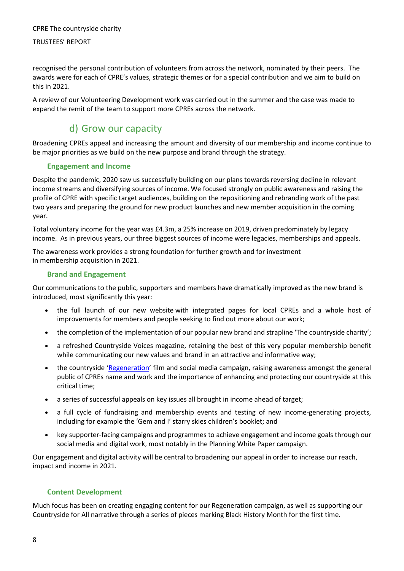#### TRUSTEES' REPORT

recognised the personal contribution of volunteers from across the network, nominated by their peers. The awards were for each of CPRE's values, strategic themes or for a special contribution and we aim to build on this in 2021.

A review of our Volunteering Development work was carried out in the summer and the case was made to expand the remit of the team to support more CPREs across the network.

### d) Grow our capacity

Broadening CPREs appeal and increasing the amount and diversity of our membership and income continue to be major priorities as we build on the new purpose and brand through the strategy.

#### **Engagement and Income**

Despite the pandemic, 2020 saw us successfully building on our plans towards reversing decline in relevant income streams and diversifying sources of income. We focused strongly on public awareness and raising the profile of CPRE with specific target audiences, building on the repositioning and rebranding work of the past two years and preparing the ground for new product launches and new member acquisition in the coming year.

Total voluntary income for the year was £4.3m, a 25% increase on 2019, driven predominately by legacy income. As in previous years, our three biggest sources of income were legacies, memberships and appeals.

The awareness work provides a strong foundation for further growth and for investment in membership acquisition in 2021.

#### **Brand and Engagement**

Our communications to the public, supporters and members have dramatically improved as the new brand is introduced, most significantly this year:

- the full launch of our new website with integrated pages for local CPREs and a whole host of improvements for members and people seeking to find out more about our work;
- the completion of the implementation of our popular new brand and strapline 'The countryside charity';
- a refreshed Countryside Voices magazine, retaining the best of this very popular membership benefit while communicating our new values and brand in an attractive and informative way;
- the countryside ['Regeneration'](https://www.youtube.com/watch?v=4pwR3qx2w6Q&ab_channel=CPREThecountrysidecharity) film and social media campaign, raising awareness amongst the general public of CPREs name and work and the importance of enhancing and protecting our countryside at this critical time;
- a series of successful appeals on key issues all brought in income ahead of target;
- a full cycle of fundraising and membership events and testing of new income-generating projects, including for example the 'Gem and I' starry skies children's booklet; and
- key supporter-facing campaigns and programmes to achieve engagement and income goals through our social media and digital work, most notably in the Planning White Paper campaign.

Our engagement and digital activity will be central to broadening our appeal in order to increase our reach, impact and income in 2021.

#### **Content Development**

Much focus has been on creating engaging content for our Regeneration campaign, as well as supporting our Countryside for All narrative through a series of pieces marking Black History Month for the first time.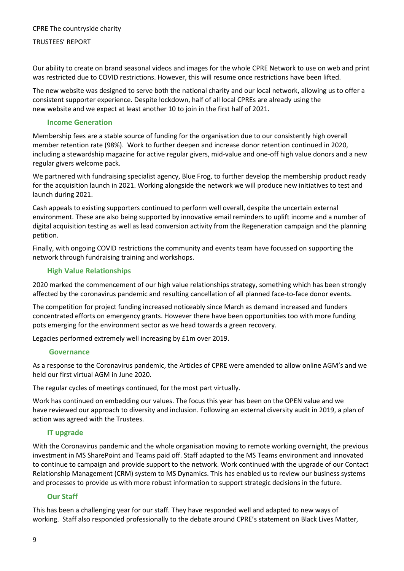#### TRUSTEES' REPORT

Our ability to create on brand seasonal videos and images for the whole CPRE Network to use on web and print was restricted due to COVID restrictions. However, this will resume once restrictions have been lifted.

The new website was designed to serve both the national charity and our local network, allowing us to offer a consistent supporter experience. Despite lockdown, half of all local CPREs are already using the new website and we expect at least another 10 to join in the first half of 2021.

#### **Income Generation**

Membership fees are a stable source of funding for the organisation due to our consistently high overall member retention rate (98%). Work to further deepen and increase donor retention continued in 2020, including a stewardship magazine for active regular givers, mid-value and one-off high value donors and a new regular givers welcome pack.

We partnered with fundraising specialist agency, Blue Frog, to further develop the membership product ready for the acquisition launch in 2021. Working alongside the network we will produce new initiatives to test and launch during 2021.

Cash appeals to existing supporters continued to perform well overall, despite the uncertain external environment. These are also being supported by innovative email reminders to uplift income and a number of digital acquisition testing as well as lead conversion activity from the Regeneration campaign and the planning petition.

Finally, with ongoing COVID restrictions the community and events team have focussed on supporting the network through fundraising training and workshops.

#### **High Value Relationships**

2020 marked the commencement of our high value relationships strategy, something which has been strongly affected by the coronavirus pandemic and resulting cancellation of all planned face-to-face donor events.

The competition for project funding increased noticeably since March as demand increased and funders concentrated efforts on emergency grants. However there have been opportunities too with more funding pots emerging for the environment sector as we head towards a green recovery.

Legacies performed extremely well increasing by £1m over 2019.

#### **Governance**

As a response to the Coronavirus pandemic, the Articles of CPRE were amended to allow online AGM's and we held our first virtual AGM in June 2020.

The regular cycles of meetings continued, for the most part virtually.

Work has continued on embedding our values. The focus this year has been on the OPEN value and we have reviewed our approach to diversity and inclusion. Following an external diversity audit in 2019, a plan of action was agreed with the Trustees.

#### **IT upgrade**

With the Coronavirus pandemic and the whole organisation moving to remote working overnight, the previous investment in MS SharePoint and Teams paid off. Staff adapted to the MS Teams environment and innovated to continue to campaign and provide support to the network. Work continued with the upgrade of our Contact Relationship Management (CRM) system to MS Dynamics. This has enabled us to review our business systems and processes to provide us with more robust information to support strategic decisions in the future.

#### **Our Staff**

This has been a challenging year for our staff. They have responded well and adapted to new ways of working. Staff also responded professionally to the debate around CPRE's statement on Black Lives Matter,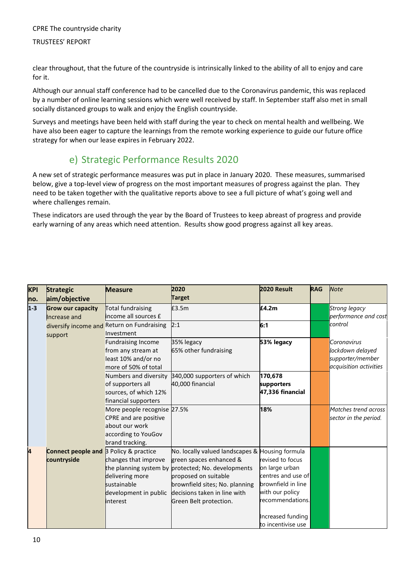#### TRUSTEES' REPORT

clear throughout, that the future of the countryside is intrinsically linked to the ability of all to enjoy and care for it.

Although our annual staff conference had to be cancelled due to the Coronavirus pandemic, this was replaced by a number of online learning sessions which were well received by staff. In September staff also met in small socially distanced groups to walk and enjoy the English countryside.

Surveys and meetings have been held with staff during the year to check on mental health and wellbeing. We have also been eager to capture the learnings from the remote working experience to guide our future office strategy for when our lease expires in February 2022.

### e) Strategic Performance Results 2020

A new set of strategic performance measures was put in place in January 2020. These measures, summarised below, give a top-level view of progress on the most important measures of progress against the plan. They need to be taken together with the qualitative reports above to see a full picture of what's going well and where challenges remain.

These indicators are used through the year by the Board of Trustees to keep abreast of progress and provide early warning of any areas which need attention. Results show good progress against all key areas.

| <b>KPI</b> | <b>Strategic</b>          | <b>Measure</b>                                           | 2020                                               | 2020 Result        | <b>RAG</b> | <b>Note</b>            |
|------------|---------------------------|----------------------------------------------------------|----------------------------------------------------|--------------------|------------|------------------------|
| no.        | aim/objective             |                                                          | <b>Target</b>                                      |                    |            |                        |
| $1 - 3$    | <b>Grow our capacity</b>  | <b>Total fundraising</b>                                 | £3.5m                                              | £4.2m              |            | Strong legacy          |
|            | Increase and              | income all sources £                                     |                                                    |                    |            | performance and cost   |
|            | support                   | diversify income and Return on Fundraising<br>Investment | 2:1                                                | 6:1                |            | control                |
|            |                           | <b>Fundraising Income</b>                                | 35% legacy                                         | 53% legacy         |            | Coronavirus            |
|            |                           | from any stream at                                       | 65% other fundraising                              |                    |            | lockdown delayed       |
|            |                           | least 10% and/or no                                      |                                                    |                    |            | supporter/member       |
|            |                           | more of 50% of total                                     |                                                    |                    |            | acquisition activities |
|            |                           | Numbers and diversity                                    | 340,000 supporters of which                        | 170,678            |            |                        |
|            |                           | of supporters all                                        | 40,000 financial                                   | supporters         |            |                        |
|            |                           | sources, of which 12%                                    |                                                    | 47,336 financial   |            |                        |
|            |                           | financial supporters                                     |                                                    |                    |            |                        |
|            |                           | More people recognise 27.5%                              |                                                    | 18%                |            | Matches trend across   |
|            |                           | <b>CPRE</b> and are positive                             |                                                    |                    |            | sector in the period.  |
|            |                           | about our work                                           |                                                    |                    |            |                        |
|            |                           | according to YouGov                                      |                                                    |                    |            |                        |
|            |                           | brand tracking.                                          |                                                    |                    |            |                        |
| 4          | <b>Connect people and</b> | 3 Policy & practice                                      | No. locally valued landscapes & Housing formula    |                    |            |                        |
|            | countryside               | changes that improve                                     | green spaces enhanced &                            | revised to focus   |            |                        |
|            |                           |                                                          | the planning system by protected; No. developments | on large urban     |            |                        |
|            |                           | delivering more                                          | proposed on suitable                               | centres and use of |            |                        |
|            |                           | sustainable                                              | brownfield sites; No. planning                     | brownfield in line |            |                        |
|            |                           | development in public                                    | decisions taken in line with                       | with our policy    |            |                        |
|            |                           | interest                                                 | Green Belt protection.                             | recommendations.   |            |                        |
|            |                           |                                                          |                                                    | Increased funding  |            |                        |
|            |                           |                                                          |                                                    | to incentivise use |            |                        |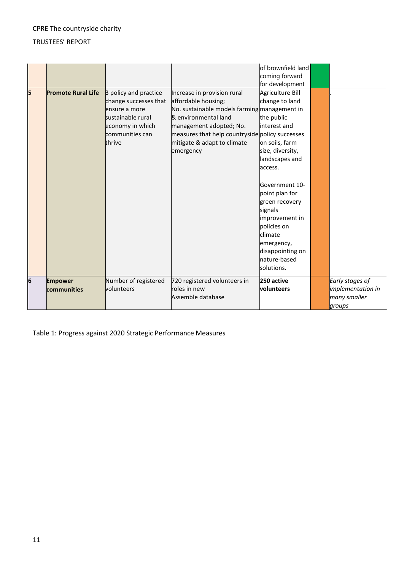#### TRUSTEES' REPORT

|   |                           |                       |                                                 | of brownfield land<br>coming forward |                          |
|---|---------------------------|-----------------------|-------------------------------------------------|--------------------------------------|--------------------------|
|   |                           |                       |                                                 | for development                      |                          |
| 5 | <b>Promote Rural Life</b> | 3 policy and practice | Increase in provision rural                     | Agriculture Bill                     |                          |
|   |                           | change successes that | affordable housing;                             | change to land                       |                          |
|   |                           | ensure a more         | No. sustainable models farming management in    |                                      |                          |
|   |                           | sustainable rural     | & environmental land                            | the public                           |                          |
|   |                           | economy in which      | management adopted; No.                         | interest and                         |                          |
|   |                           | communities can       | measures that help countryside policy successes |                                      |                          |
|   |                           | thrive                | mitigate & adapt to climate                     | on soils, farm                       |                          |
|   |                           |                       | emergency                                       | size, diversity,                     |                          |
|   |                           |                       |                                                 | landscapes and                       |                          |
|   |                           |                       |                                                 | access.                              |                          |
|   |                           |                       |                                                 |                                      |                          |
|   |                           |                       |                                                 | Government 10-                       |                          |
|   |                           |                       |                                                 | point plan for                       |                          |
|   |                           |                       |                                                 | green recovery                       |                          |
|   |                           |                       |                                                 | signals                              |                          |
|   |                           |                       |                                                 | improvement in                       |                          |
|   |                           |                       |                                                 | policies on                          |                          |
|   |                           |                       |                                                 | climate                              |                          |
|   |                           |                       |                                                 | emergency,                           |                          |
|   |                           |                       |                                                 | disappointing on                     |                          |
|   |                           |                       |                                                 | nature-based                         |                          |
|   |                           |                       |                                                 | solutions.                           |                          |
| 6 | <b>Empower</b>            | Number of registered  | 720 registered volunteers in                    | 250 active                           | Early stages of          |
|   | communities               | volunteers            | roles in new                                    | volunteers                           | <i>implementation in</i> |
|   |                           |                       | Assemble database                               |                                      | many smaller             |
|   |                           |                       |                                                 |                                      | groups                   |

Table 1: Progress against 2020 Strategic Performance Measures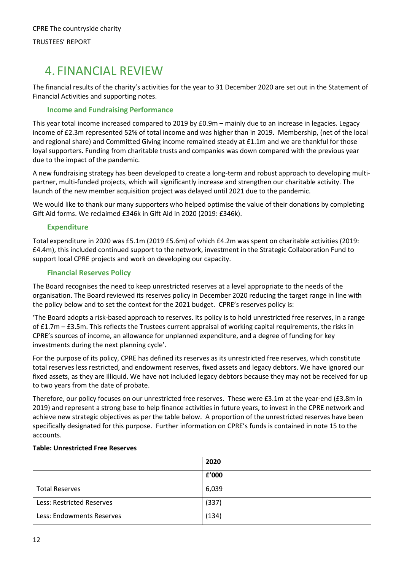# <span id="page-13-0"></span>4. FINANCIAL REVIEW

The financial results of the charity's activities for the year to 31 December 2020 are set out in the Statement of Financial Activities and supporting notes.

#### **Income and Fundraising Performance**

This year total income increased compared to 2019 by £0.9m – mainly due to an increase in legacies. Legacy income of £2.3m represented 52% of total income and was higher than in 2019. Membership, (net of the local and regional share) and Committed Giving income remained steady at £1.1m and we are thankful for those loyal supporters. Funding from charitable trusts and companies was down compared with the previous year due to the impact of the pandemic.

A new fundraising strategy has been developed to create a long-term and robust approach to developing multipartner, multi-funded projects, which will significantly increase and strengthen our charitable activity. The launch of the new member acquisition project was delayed until 2021 due to the pandemic.

We would like to thank our many supporters who helped optimise the value of their donations by completing Gift Aid forms. We reclaimed £346k in Gift Aid in 2020 (2019: £346k).

#### **Expenditure**

Total expenditure in 2020 was £5.1m (2019 £5.6m) of which £4.2m was spent on charitable activities (2019: £4.4m), this included continued support to the network, investment in the Strategic Collaboration Fund to support local CPRE projects and work on developing our capacity.

#### **Financial Reserves Policy**

The Board recognises the need to keep unrestricted reserves at a level appropriate to the needs of the organisation. The Board reviewed its reserves policy in December 2020 reducing the target range in line with the policy below and to set the context for the 2021 budget. CPRE's reserves policy is:

'The Board adopts a risk-based approach to reserves. Its policy is to hold unrestricted free reserves, in a range of £1.7m – £3.5m. This reflects the Trustees current appraisal of working capital requirements, the risks in CPRE's sources of income, an allowance for unplanned expenditure, and a degree of funding for key investments during the next planning cycle'.

For the purpose of its policy, CPRE has defined its reserves as its unrestricted free reserves, which constitute total reserves less restricted, and endowment reserves, fixed assets and legacy debtors. We have ignored our fixed assets, as they are illiquid. We have not included legacy debtors because they may not be received for up to two years from the date of probate.

Therefore, our policy focuses on our unrestricted free reserves. These were £3.1m at the year-end (£3.8m in 2019) and represent a strong base to help finance activities in future years, to invest in the CPRE network and achieve new strategic objectives as per the table below. A proportion of the unrestricted reserves have been specifically designated for this purpose. Further information on CPRE's funds is contained in note 15 to the accounts.

#### **Table: Unrestricted Free Reserves**

|                           | 2020  |
|---------------------------|-------|
|                           | £'000 |
| <b>Total Reserves</b>     | 6,039 |
| Less: Restricted Reserves | (337) |
| Less: Endowments Reserves | (134) |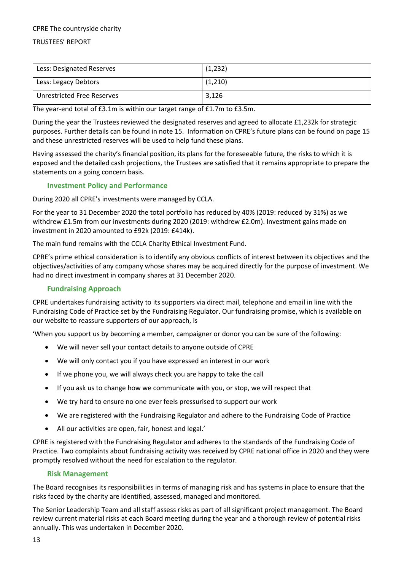#### TRUSTEES' REPORT

| Less: Designated Reserves  | (1,232) |
|----------------------------|---------|
| Less: Legacy Debtors       | (1,210) |
| Unrestricted Free Reserves | 3,126   |

The year-end total of £3.1m is within our target range of £1.7m to £3.5m.

During the year the Trustees reviewed the designated reserves and agreed to allocate £1,232k for strategic purposes. Further details can be found in note 15. Information on CPRE's future plans can be found on page 15 and these unrestricted reserves will be used to help fund these plans.

Having assessed the charity's financial position, its plans for the foreseeable future, the risks to which it is exposed and the detailed cash projections, the Trustees are satisfied that it remains appropriate to prepare the statements on a going concern basis.

#### **Investment Policy and Performance**

During 2020 all CPRE's investments were managed by CCLA.

For the year to 31 December 2020 the total portfolio has reduced by 40% (2019: reduced by 31%) as we withdrew £1.5m from our investments during 2020 (2019: withdrew £2.0m). Investment gains made on investment in 2020 amounted to £92k (2019: £414k).

The main fund remains with the CCLA Charity Ethical Investment Fund.

CPRE's prime ethical consideration is to identify any obvious conflicts of interest between its objectives and the objectives/activities of any company whose shares may be acquired directly for the purpose of investment. We had no direct investment in company shares at 31 December 2020.

#### **Fundraising Approach**

CPRE undertakes fundraising activity to its supporters via direct mail, telephone and email in line with the Fundraising Code of Practice set by the Fundraising Regulator. Our fundraising promise, which is available on our website to reassure supporters of our approach, is

'When you support us by becoming a member, campaigner or donor you can be sure of the following:

- We will never sell your contact details to anyone outside of CPRE
- We will only contact you if you have expressed an interest in our work
- If we phone you, we will always check you are happy to take the call
- If you ask us to change how we communicate with you, or stop, we will respect that
- We try hard to ensure no one ever feels pressurised to support our work
- We are registered with the Fundraising Regulator and adhere to the Fundraising Code of Practice
- All our activities are open, fair, honest and legal.'

CPRE is registered with the Fundraising Regulator and adheres to the standards of the Fundraising Code of Practice. Two complaints about fundraising activity was received by CPRE national office in 2020 and they were promptly resolved without the need for escalation to the regulator.

#### **Risk Management**

The Board recognises its responsibilities in terms of managing risk and has systems in place to ensure that the risks faced by the charity are identified, assessed, managed and monitored.

The Senior Leadership Team and all staff assess risks as part of all significant project management. The Board review current material risks at each Board meeting during the year and a thorough review of potential risks annually. This was undertaken in December 2020.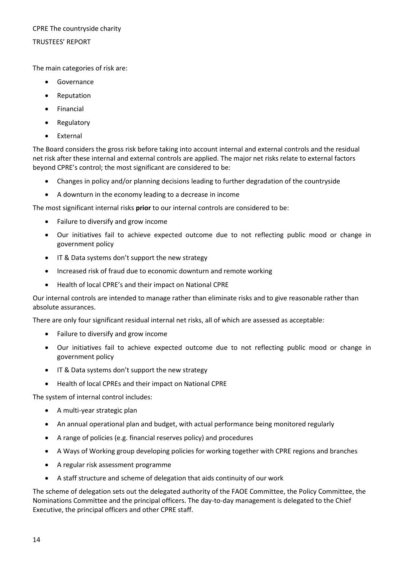#### TRUSTEES' REPORT

The main categories of risk are:

- Governance
- Reputation
- Financial
- Regulatory
- External

The Board considers the gross risk before taking into account internal and external controls and the residual net risk after these internal and external controls are applied. The major net risks relate to external factors beyond CPRE's control; the most significant are considered to be:

- Changes in policy and/or planning decisions leading to further degradation of the countryside
- A downturn in the economy leading to a decrease in income

The most significant internal risks **prior** to our internal controls are considered to be:

- Failure to diversify and grow income
- Our initiatives fail to achieve expected outcome due to not reflecting public mood or change in government policy
- IT & Data systems don't support the new strategy
- Increased risk of fraud due to economic downturn and remote working
- Health of local CPRE's and their impact on National CPRE

Our internal controls are intended to manage rather than eliminate risks and to give reasonable rather than absolute assurances.

There are only four significant residual internal net risks, all of which are assessed as acceptable:

- Failure to diversify and grow income
- Our initiatives fail to achieve expected outcome due to not reflecting public mood or change in government policy
- IT & Data systems don't support the new strategy
- Health of local CPREs and their impact on National CPRE

The system of internal control includes:

- A multi-year strategic plan
- An annual operational plan and budget, with actual performance being monitored regularly
- A range of policies (e.g. financial reserves policy) and procedures
- A Ways of Working group developing policies for working together with CPRE regions and branches
- A regular risk assessment programme
- A staff structure and scheme of delegation that aids continuity of our work

The scheme of delegation sets out the delegated authority of the FAOE Committee, the Policy Committee, the Nominations Committee and the principal officers. The day-to-day management is delegated to the Chief Executive, the principal officers and other CPRE staff.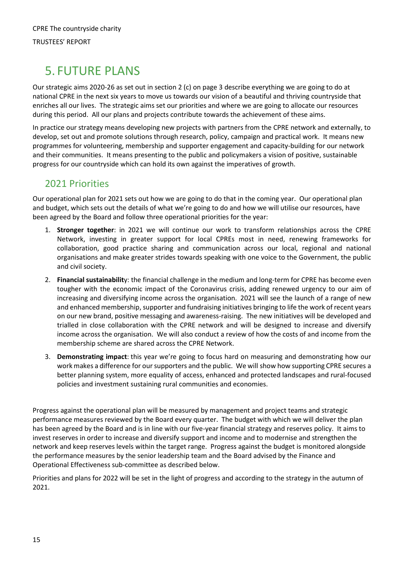# <span id="page-16-0"></span>5. FUTURE PLANS

Our strategic aims 2020-26 as set out in section 2 (c) on page 3 describe everything we are going to do at national CPRE in the next six years to move us towards our vision of a beautiful and thriving countryside that enriches all our lives. The strategic aims set our priorities and where we are going to allocate our resources during this period. All our plans and projects contribute towards the achievement of these aims.

In practice our strategy means developing new projects with partners from the CPRE network and externally, to develop, set out and promote solutions through research, policy, campaign and practical work. It means new programmes for volunteering, membership and supporter engagement and capacity-building for our network and their communities. It means presenting to the public and policymakers a vision of positive, sustainable progress for our countryside which can hold its own against the imperatives of growth.

### 2021 Priorities

Our operational plan for 2021 sets out how we are going to do that in the coming year. Our operational plan and budget, which sets out the details of what we're going to do and how we will utilise our resources, have been agreed by the Board and follow three operational priorities for the year:

- 1. **Stronger together**: in 2021 we will continue our work to transform relationships across the CPRE Network, investing in greater support for local CPREs most in need, renewing frameworks for collaboration, good practice sharing and communication across our local, regional and national organisations and make greater strides towards speaking with one voice to the Government, the public and civil society.
- 2. **Financial sustainabilit**y: the financial challenge in the medium and long-term for CPRE has become even tougher with the economic impact of the Coronavirus crisis, adding renewed urgency to our aim of increasing and diversifying income across the organisation. 2021 will see the launch of a range of new and enhanced membership, supporter and fundraising initiatives bringing to life the work of recent years on our new brand, positive messaging and awareness-raising. The new initiatives will be developed and trialled in close collaboration with the CPRE network and will be designed to increase and diversify income across the organisation. We will also conduct a review of how the costs of and income from the membership scheme are shared across the CPRE Network.
- 3. **Demonstrating impact**: this year we're going to focus hard on measuring and demonstrating how our work makes a difference for our supporters and the public. We will show how supporting CPRE secures a better planning system, more equality of access, enhanced and protected landscapes and rural-focused policies and investment sustaining rural communities and economies.

Progress against the operational plan will be measured by management and project teams and strategic performance measures reviewed by the Board every quarter. The budget with which we will deliver the plan has been agreed by the Board and is in line with our five-year financial strategy and reserves policy. It aims to invest reserves in order to increase and diversify support and income and to modernise and strengthen the network and keep reserves levels within the target range. Progress against the budget is monitored alongside the performance measures by the senior leadership team and the Board advised by the Finance and Operational Effectiveness sub-committee as described below.

Priorities and plans for 2022 will be set in the light of progress and according to the strategy in the autumn of 2021.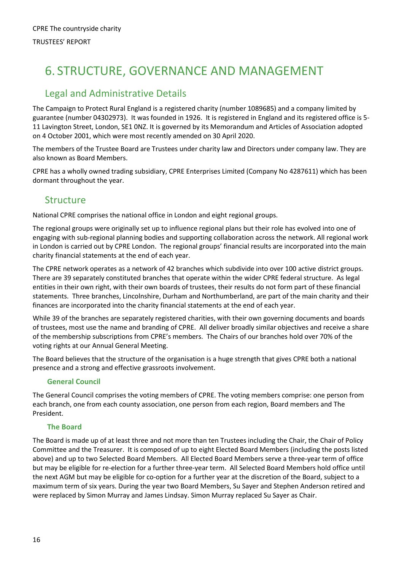# <span id="page-17-0"></span>6. STRUCTURE, GOVERNANCE AND MANAGEMENT

### Legal and Administrative Details

The Campaign to Protect Rural England is a registered charity (number 1089685) and a company limited by guarantee (number 04302973). It was founded in 1926. It is registered in England and its registered office is 5- 11 Lavington Street, London, SE1 0NZ. It is governed by its Memorandum and Articles of Association adopted on 4 October 2001, which were most recently amended on 30 April 2020.

The members of the Trustee Board are Trustees under charity law and Directors under company law. They are also known as Board Members.

CPRE has a wholly owned trading subsidiary, CPRE Enterprises Limited (Company No 4287611) which has been dormant throughout the year.

### Structure

National CPRE comprises the national office in London and eight regional groups.

The regional groups were originally set up to influence regional plans but their role has evolved into one of engaging with sub-regional planning bodies and supporting collaboration across the network. All regional work in London is carried out by CPRE London. The regional groups' financial results are incorporated into the main charity financial statements at the end of each year.

The CPRE network operates as a network of 42 branches which subdivide into over 100 active district groups. There are 39 separately constituted branches that operate within the wider CPRE federal structure. As legal entities in their own right, with their own boards of trustees, their results do not form part of these financial statements. Three branches, Lincolnshire, Durham and Northumberland, are part of the main charity and their finances are incorporated into the charity financial statements at the end of each year.

While 39 of the branches are separately registered charities, with their own governing documents and boards of trustees, most use the name and branding of CPRE. All deliver broadly similar objectives and receive a share of the membership subscriptions from CPRE's members. The Chairs of our branches hold over 70% of the voting rights at our Annual General Meeting.

The Board believes that the structure of the organisation is a huge strength that gives CPRE both a national presence and a strong and effective grassroots involvement.

#### **General Council**

The General Council comprises the voting members of CPRE. The voting members comprise: one person from each branch, one from each county association, one person from each region, Board members and The President.

#### **The Board**

The Board is made up of at least three and not more than ten Trustees including the Chair, the Chair of Policy Committee and the Treasurer. It is composed of up to eight Elected Board Members (including the posts listed above) and up to two Selected Board Members. All Elected Board Members serve a three-year term of office but may be eligible for re-election for a further three-year term. All Selected Board Members hold office until the next AGM but may be eligible for co-option for a further year at the discretion of the Board, subject to a maximum term of six years. During the year two Board Members, Su Sayer and Stephen Anderson retired and were replaced by Simon Murray and James Lindsay. Simon Murray replaced Su Sayer as Chair.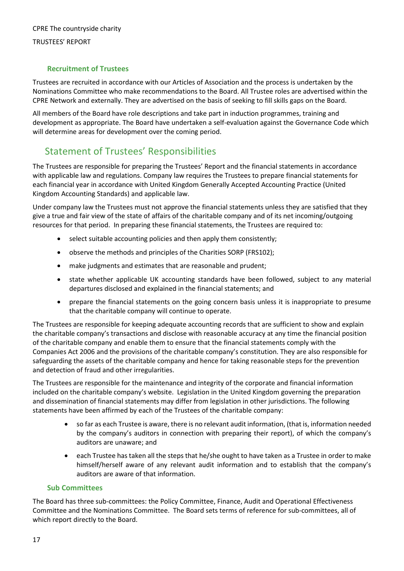#### TRUSTEES' REPORT

#### **Recruitment of Trustees**

Trustees are recruited in accordance with our Articles of Association and the process is undertaken by the Nominations Committee who make recommendations to the Board. All Trustee roles are advertised within the CPRE Network and externally. They are advertised on the basis of seeking to fill skills gaps on the Board.

All members of the Board have role descriptions and take part in induction programmes, training and development as appropriate. The Board have undertaken a self-evaluation against the Governance Code which will determine areas for development over the coming period.

### Statement of Trustees' Responsibilities

The Trustees are responsible for preparing the Trustees' Report and the financial statements in accordance with applicable law and regulations. Company law requires the Trustees to prepare financial statements for each financial year in accordance with United Kingdom Generally Accepted Accounting Practice (United Kingdom Accounting Standards) and applicable law.

Under company law the Trustees must not approve the financial statements unless they are satisfied that they give a true and fair view of the state of affairs of the charitable company and of its net incoming/outgoing resources for that period. In preparing these financial statements, the Trustees are required to:

- select suitable accounting policies and then apply them consistently;
- observe the methods and principles of the Charities SORP (FRS102);
- make judgments and estimates that are reasonable and prudent;
- state whether applicable UK accounting standards have been followed, subject to any material departures disclosed and explained in the financial statements; and
- prepare the financial statements on the going concern basis unless it is inappropriate to presume that the charitable company will continue to operate.

The Trustees are responsible for keeping adequate accounting records that are sufficient to show and explain the charitable company's transactions and disclose with reasonable accuracy at any time the financial position of the charitable company and enable them to ensure that the financial statements comply with the Companies Act 2006 and the provisions of the charitable company's constitution. They are also responsible for safeguarding the assets of the charitable company and hence for taking reasonable steps for the prevention and detection of fraud and other irregularities.

The Trustees are responsible for the maintenance and integrity of the corporate and financial information included on the charitable company's website. Legislation in the United Kingdom governing the preparation and dissemination of financial statements may differ from legislation in other jurisdictions. The following statements have been affirmed by each of the Trustees of the charitable company:

- so far as each Trustee is aware, there is no relevant audit information, (that is, information needed by the company's auditors in connection with preparing their report), of which the company's auditors are unaware; and
- each Trustee has taken all the steps that he/she ought to have taken as a Trustee in order to make himself/herself aware of any relevant audit information and to establish that the company's auditors are aware of that information.

#### **Sub Committees**

The Board has three sub-committees: the Policy Committee, Finance, Audit and Operational Effectiveness Committee and the Nominations Committee. The Board sets terms of reference for sub-committees, all of which report directly to the Board.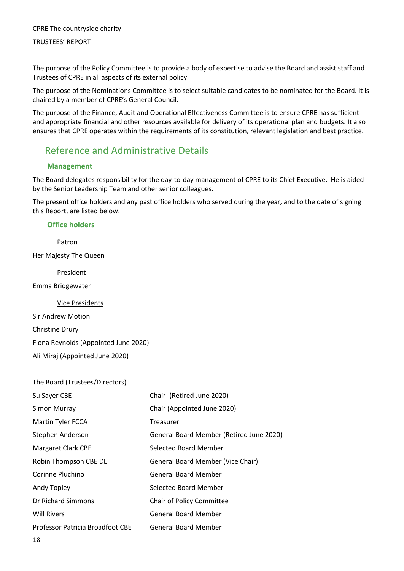#### TRUSTEES' REPORT

The purpose of the Policy Committee is to provide a body of expertise to advise the Board and assist staff and Trustees of CPRE in all aspects of its external policy.

The purpose of the Nominations Committee is to select suitable candidates to be nominated for the Board. It is chaired by a member of CPRE's General Council.

The purpose of the Finance, Audit and Operational Effectiveness Committee is to ensure CPRE has sufficient and appropriate financial and other resources available for delivery of its operational plan and budgets. It also ensures that CPRE operates within the requirements of its constitution, relevant legislation and best practice.

### Reference and Administrative Details

#### **Management**

The Board delegates responsibility for the day-to-day management of CPRE to its Chief Executive. He is aided by the Senior Leadership Team and other senior colleagues.

The present office holders and any past office holders who served during the year, and to the date of signing this Report, are listed below.

#### **Office holders**

Patron Her Majesty The Queen

President

Emma Bridgewater

Vice Presidents

Sir Andrew Motion Christine Drury Fiona Reynolds (Appointed June 2020) Ali Miraj (Appointed June 2020)

| The Board (Trustees/Directors)   |                                          |
|----------------------------------|------------------------------------------|
| Su Sayer CBE                     | Chair (Retired June 2020)                |
| Simon Murray                     | Chair (Appointed June 2020)              |
| Martin Tyler FCCA                | Treasurer                                |
| Stephen Anderson                 | General Board Member (Retired June 2020) |
| Margaret Clark CBE               | Selected Board Member                    |
| Robin Thompson CBE DL            | General Board Member (Vice Chair)        |
| Corinne Pluchino                 | <b>General Board Member</b>              |
| Andy Topley                      | Selected Board Member                    |
| Dr Richard Simmons               | <b>Chair of Policy Committee</b>         |
| <b>Will Rivers</b>               | <b>General Board Member</b>              |
| Professor Patricia Broadfoot CBE | <b>General Board Member</b>              |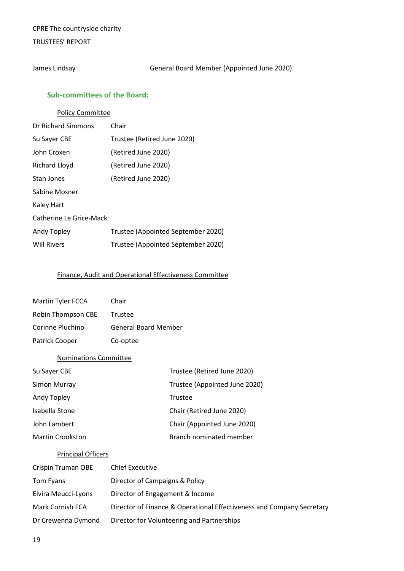#### TRUSTEES' REPORT

James Lindsay General Board Member (Appointed June 2020)

#### **Sub-committees of the Board:**

#### Policy Committee

| Dr Richard Simmons      | Chair                              |
|-------------------------|------------------------------------|
| Su Sayer CBE            | Trustee (Retired June 2020)        |
| John Croxen             | (Retired June 2020)                |
| <b>Richard Lloyd</b>    | (Retired June 2020)                |
| Stan Jones              | (Retired June 2020)                |
| Sabine Mosner           |                                    |
| Kaley Hart              |                                    |
| Catherine Le Grice-Mack |                                    |
| Andy Topley             | Trustee (Appointed September 2020) |
| <b>Will Rivers</b>      | Trustee (Appointed September 2020) |

#### Finance, Audit and Operational Effectiveness Committee

| Martin Tyler FCCA  | Chair                       |
|--------------------|-----------------------------|
| Robin Thompson CBE | Trustee                     |
| Corinne Pluchino   | <b>General Board Member</b> |
| Patrick Cooper     | Co-optee                    |

#### Nominations Committee

| Su Sayer CBE            | Trustee (Retired June 2020)   |
|-------------------------|-------------------------------|
| Simon Murray            | Trustee (Appointed June 2020) |
| Andy Topley             | Trustee                       |
| Isabella Stone          | Chair (Retired June 2020)     |
| John Lambert            | Chair (Appointed June 2020)   |
| <b>Martin Crookston</b> | Branch nominated member       |

#### Principal Officers

| Crispin Truman OBE  | <b>Chief Executive</b>                                                |
|---------------------|-----------------------------------------------------------------------|
| Tom Fyans           | Director of Campaigns & Policy                                        |
| Elvira Meucci-Lyons | Director of Engagement & Income                                       |
| Mark Cornish FCA    | Director of Finance & Operational Effectiveness and Company Secretary |
| Dr Crewenna Dymond  | Director for Volunteering and Partnerships                            |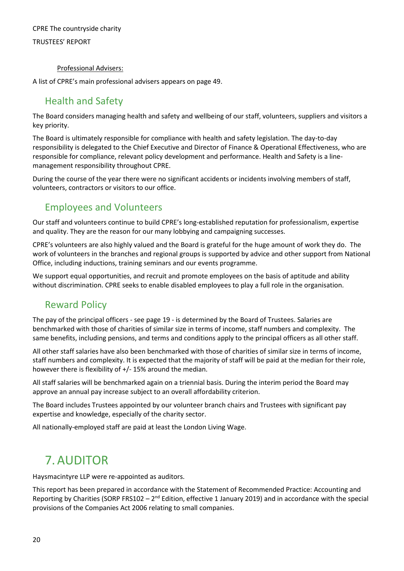#### TRUSTEES' REPORT

#### Professional Advisers:

A list of CPRE's main professional advisers appears on page 49.

### Health and Safety

The Board considers managing health and safety and wellbeing of our staff, volunteers, suppliers and visitors a key priority.

The Board is ultimately responsible for compliance with health and safety legislation. The day-to-day responsibility is delegated to the Chief Executive and Director of Finance & Operational Effectiveness, who are responsible for compliance, relevant policy development and performance. Health and Safety is a linemanagement responsibility throughout CPRE.

During the course of the year there were no significant accidents or incidents involving members of staff, volunteers, contractors or visitors to our office.

### Employees and Volunteers

Our staff and volunteers continue to build CPRE's long-established reputation for professionalism, expertise and quality. They are the reason for our many lobbying and campaigning successes.

CPRE's volunteers are also highly valued and the Board is grateful for the huge amount of work they do. The work of volunteers in the branches and regional groups is supported by advice and other support from National Office, including inductions, training seminars and our events programme.

We support equal opportunities, and recruit and promote employees on the basis of aptitude and ability without discrimination. CPRE seeks to enable disabled employees to play a full role in the organisation.

### Reward Policy

The pay of the principal officers - see page 19 - is determined by the Board of Trustees. Salaries are benchmarked with those of charities of similar size in terms of income, staff numbers and complexity. The same benefits, including pensions, and terms and conditions apply to the principal officers as all other staff.

All other staff salaries have also been benchmarked with those of charities of similar size in terms of income, staff numbers and complexity. It is expected that the majority of staff will be paid at the median for their role, however there is flexibility of +/- 15% around the median.

All staff salaries will be benchmarked again on a triennial basis. During the interim period the Board may approve an annual pay increase subject to an overall affordability criterion.

The Board includes Trustees appointed by our volunteer branch chairs and Trustees with significant pay expertise and knowledge, especially of the charity sector.

All nationally-employed staff are paid at least the London Living Wage.

# <span id="page-21-0"></span>7.AUDITOR

Haysmacintyre LLP were re-appointed as auditors.

This report has been prepared in accordance with the Statement of Recommended Practice: Accounting and Reporting by Charities (SORP FRS102 –  $2^{nd}$  Edition, effective 1 January 2019) and in accordance with the special provisions of the Companies Act 2006 relating to small companies.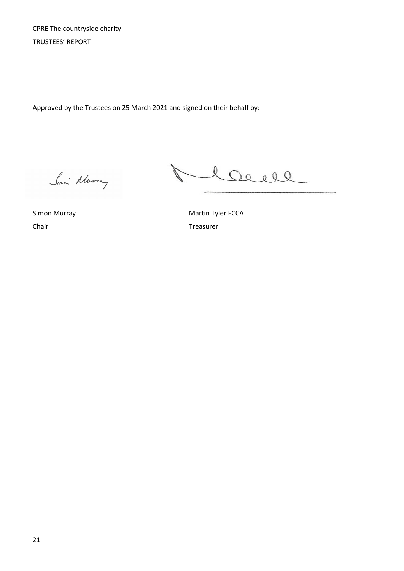CPRE The countryside charity TRUSTEES' REPORT

Approved by the Trustees on 25 March 2021 and signed on their behalf by:

Siani Alurry

N. Clave

Chair Treasurer

Simon Murray **Martin Tyler FCCA**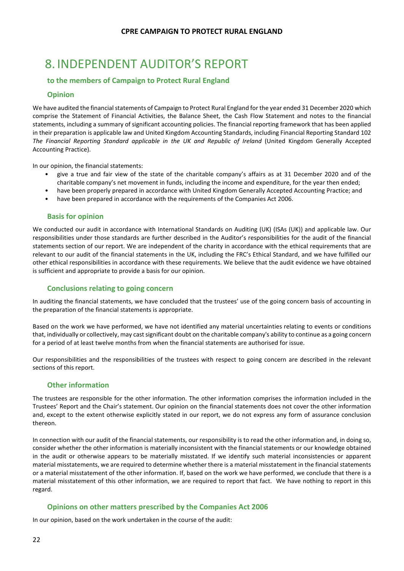# <span id="page-23-0"></span>8. INDEPENDENT AUDITOR'S REPORT

#### **to the members of Campaign to Protect Rural England**

#### **Opinion**

We have audited the financial statements of Campaign to Protect Rural England for the year ended 31 December 2020 which comprise the Statement of Financial Activities, the Balance Sheet, the Cash Flow Statement and notes to the financial statements, including a summary of significant accounting policies. The financial reporting framework that has been applied in their preparation is applicable law and United Kingdom Accounting Standards, including Financial Reporting Standard 102 *The Financial Reporting Standard applicable in the UK and Republic of Ireland* (United Kingdom Generally Accepted Accounting Practice).

In our opinion, the financial statements:

- give a true and fair view of the state of the charitable company's affairs as at 31 December 2020 and of the charitable company's net movement in funds, including the income and expenditure, for the year then ended;
- have been properly prepared in accordance with United Kingdom Generally Accepted Accounting Practice; and
- have been prepared in accordance with the requirements of the Companies Act 2006.

#### **Basis for opinion**

We conducted our audit in accordance with International Standards on Auditing (UK) (ISAs (UK)) and applicable law. Our responsibilities under those standards are further described in the Auditor's responsibilities for the audit of the financial statements section of our report. We are independent of the charity in accordance with the ethical requirements that are relevant to our audit of the financial statements in the UK, including the FRC's Ethical Standard, and we have fulfilled our other ethical responsibilities in accordance with these requirements. We believe that the audit evidence we have obtained is sufficient and appropriate to provide a basis for our opinion.

#### **Conclusions relating to going concern**

In auditing the financial statements, we have concluded that the trustees' use of the going concern basis of accounting in the preparation of the financial statements is appropriate.

Based on the work we have performed, we have not identified any material uncertainties relating to events or conditions that, individually or collectively, may cast significant doubt on the charitable company's ability to continue as a going concern for a period of at least twelve months from when the financial statements are authorised for issue.

Our responsibilities and the responsibilities of the trustees with respect to going concern are described in the relevant sections of this report.

#### **Other information**

The trustees are responsible for the other information. The other information comprises the information included in the Trustees' Report and the Chair's statement. Our opinion on the financial statements does not cover the other information and, except to the extent otherwise explicitly stated in our report, we do not express any form of assurance conclusion thereon.

In connection with our audit of the financial statements, our responsibility is to read the other information and, in doing so, consider whether the other information is materially inconsistent with the financial statements or our knowledge obtained in the audit or otherwise appears to be materially misstated. If we identify such material inconsistencies or apparent material misstatements, we are required to determine whether there is a material misstatement in the financial statements or a material misstatement of the other information. If, based on the work we have performed, we conclude that there is a material misstatement of this other information, we are required to report that fact. We have nothing to report in this regard.

#### **Opinions on other matters prescribed by the Companies Act 2006**

In our opinion, based on the work undertaken in the course of the audit: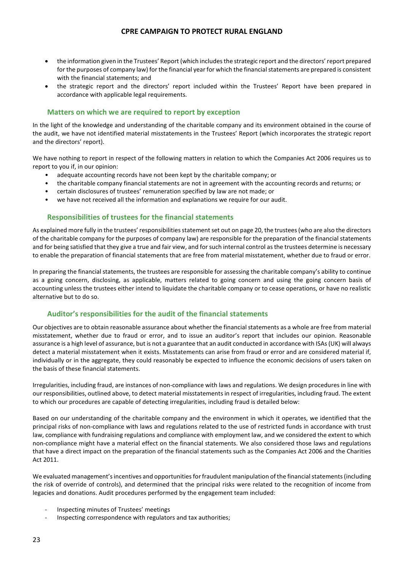- the information given in the Trustees' Report (which includes the strategic report and the directors' report prepared for the purposes of company law) for the financial year for which the financial statements are prepared is consistent with the financial statements; and
- the strategic report and the directors' report included within the Trustees' Report have been prepared in accordance with applicable legal requirements.

#### **Matters on which we are required to report by exception**

In the light of the knowledge and understanding of the charitable company and its environment obtained in the course of the audit, we have not identified material misstatements in the Trustees' Report (which incorporates the strategic report and the directors' report).

We have nothing to report in respect of the following matters in relation to which the Companies Act 2006 requires us to report to you if, in our opinion:

- adequate accounting records have not been kept by the charitable company; or
- the charitable company financial statements are not in agreement with the accounting records and returns; or
- certain disclosures of trustees' remuneration specified by law are not made; or
- we have not received all the information and explanations we require for our audit.

#### **Responsibilities of trustees for the financial statements**

As explained more fully in the trustees' responsibilities statement set out on page 20, the trustees (who are also the directors of the charitable company for the purposes of company law) are responsible for the preparation of the financial statements and for being satisfied that they give a true and fair view, and for such internal control as the trustees determine is necessary to enable the preparation of financial statements that are free from material misstatement, whether due to fraud or error.

In preparing the financial statements, the trustees are responsible for assessing the charitable company's ability to continue as a going concern, disclosing, as applicable, matters related to going concern and using the going concern basis of accounting unless the trustees either intend to liquidate the charitable company or to cease operations, or have no realistic alternative but to do so.

#### **Auditor's responsibilities for the audit of the financial statements**

Our objectives are to obtain reasonable assurance about whether the financial statements as a whole are free from material misstatement, whether due to fraud or error, and to issue an auditor's report that includes our opinion. Reasonable assurance is a high level of assurance, but is not a guarantee that an audit conducted in accordance with ISAs (UK) will always detect a material misstatement when it exists. Misstatements can arise from fraud or error and are considered material if, individually or in the aggregate, they could reasonably be expected to influence the economic decisions of users taken on the basis of these financial statements.

Irregularities, including fraud, are instances of non-compliance with laws and regulations. We design procedures in line with our responsibilities, outlined above, to detect material misstatements in respect of irregularities, including fraud. The extent to which our procedures are capable of detecting irregularities, including fraud is detailed below:

Based on our understanding of the charitable company and the environment in which it operates, we identified that the principal risks of non-compliance with laws and regulations related to the use of restricted funds in accordance with trust law, compliance with fundraising regulations and compliance with employment law, and we considered the extent to which non-compliance might have a material effect on the financial statements. We also considered those laws and regulations that have a direct impact on the preparation of the financial statements such as the Companies Act 2006 and the Charities Act 2011.

We evaluated management's incentives and opportunities for fraudulent manipulation of the financial statements (including the risk of override of controls), and determined that the principal risks were related to the recognition of income from legacies and donations. Audit procedures performed by the engagement team included:

- Inspecting minutes of Trustees' meetings
- Inspecting correspondence with regulators and tax authorities;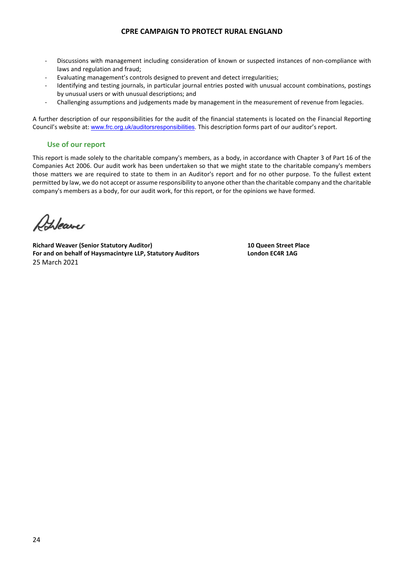- Discussions with management including consideration of known or suspected instances of non-compliance with laws and regulation and fraud;
- Evaluating management's controls designed to prevent and detect irregularities;
- Identifying and testing journals, in particular journal entries posted with unusual account combinations, postings by unusual users or with unusual descriptions; and
- Challenging assumptions and judgements made by management in the measurement of revenue from legacies.

A further description of our responsibilities for the audit of the financial statements is located on the Financial Reporting Council's website at: [www.frc.org.uk/auditorsresponsibilities.](http://www.frc.org.uk/auditorsresponsibilities) This description forms part of our auditor's report.

#### **Use of our report**

This report is made solely to the charitable company's members, as a body, in accordance with Chapter 3 of Part 16 of the Companies Act 2006. Our audit work has been undertaken so that we might state to the charitable company's members those matters we are required to state to them in an Auditor's report and for no other purpose. To the fullest extent permitted by law, we do not accept or assume responsibility to anyone other than the charitable company and the charitable company's members as a body, for our audit work, for this report, or for the opinions we have formed.

Heave

**Richard Weaver (Senior Statutory Auditor) 10 Queen Street Place For and on behalf of Haysmacintyre LLP, Statutory Auditors London EC4R 1AG** 25 March 2021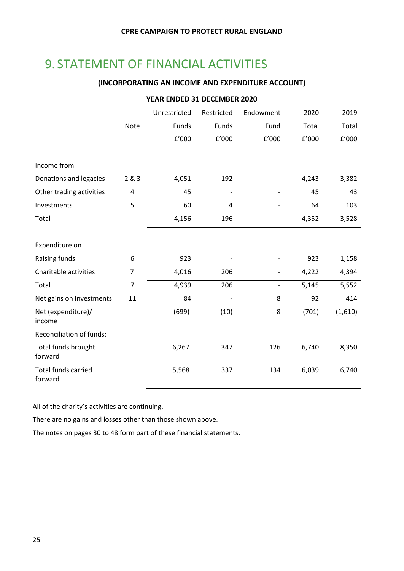# <span id="page-26-0"></span>9. STATEMENT OF FINANCIAL ACTIVITIES

#### **(INCORPORATING AN INCOME AND EXPENDITURE ACCOUNT)**

#### **YEAR ENDED 31 DECEMBER 2020**

|                                       |                         | Unrestricted | Restricted | Endowment                | 2020  | 2019    |
|---------------------------------------|-------------------------|--------------|------------|--------------------------|-------|---------|
|                                       | <b>Note</b>             | Funds        | Funds      | Fund                     | Total | Total   |
|                                       |                         | f'000        | E'000      | £'000                    | E'000 | f'000   |
|                                       |                         |              |            |                          |       |         |
| Income from                           |                         |              |            |                          |       |         |
| Donations and legacies                | 2 & 3                   | 4,051        | 192        |                          | 4,243 | 3,382   |
| Other trading activities              | $\overline{\mathbf{4}}$ | 45           |            |                          | 45    | 43      |
| Investments                           | 5                       | 60           | 4          |                          | 64    | 103     |
| Total                                 |                         | 4,156        | 196        |                          | 4,352 | 3,528   |
|                                       |                         |              |            |                          |       |         |
| Expenditure on                        |                         |              |            |                          |       |         |
| Raising funds                         | 6                       | 923          |            |                          | 923   | 1,158   |
| Charitable activities                 | 7                       | 4,016        | 206        | -                        | 4,222 | 4,394   |
| Total                                 | $\overline{7}$          | 4,939        | 206        | $\overline{\phantom{0}}$ | 5,145 | 5,552   |
| Net gains on investments              | 11                      | 84           |            | 8                        | 92    | 414     |
| Net (expenditure)/<br>income          |                         | (699)        | (10)       | 8                        | (701) | (1,610) |
| <b>Reconciliation of funds:</b>       |                         |              |            |                          |       |         |
| Total funds brought<br>forward        |                         | 6,267        | 347        | 126                      | 6,740 | 8,350   |
| <b>Total funds carried</b><br>forward |                         | 5,568        | 337        | 134                      | 6,039 | 6,740   |

All of the charity's activities are continuing.

There are no gains and losses other than those shown above.

The notes on pages 30 to 48 form part of these financial statements.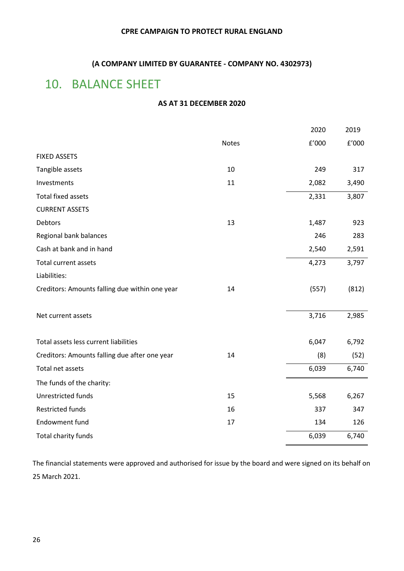#### **(A COMPANY LIMITED BY GUARANTEE - COMPANY NO. 4302973)**

# <span id="page-27-0"></span>10. BALANCE SHEET

#### **AS AT 31 DECEMBER 2020**

|                                                |       | 2020             | 2019  |
|------------------------------------------------|-------|------------------|-------|
|                                                | Notes | $\texttt{f}'000$ | f'000 |
| <b>FIXED ASSETS</b>                            |       |                  |       |
| Tangible assets                                | 10    | 249              | 317   |
| Investments                                    | 11    | 2,082            | 3,490 |
| <b>Total fixed assets</b>                      |       | 2,331            | 3,807 |
| <b>CURRENT ASSETS</b>                          |       |                  |       |
| Debtors                                        | 13    | 1,487            | 923   |
| Regional bank balances                         |       | 246              | 283   |
| Cash at bank and in hand                       |       | 2,540            | 2,591 |
| <b>Total current assets</b>                    |       | 4,273            | 3,797 |
| Liabilities:                                   |       |                  |       |
| Creditors: Amounts falling due within one year | 14    | (557)            | (812) |
|                                                |       |                  |       |
| Net current assets                             |       | 3,716            | 2,985 |
|                                                |       |                  |       |
| Total assets less current liabilities          |       | 6,047            | 6,792 |
| Creditors: Amounts falling due after one year  | 14    | (8)              | (52)  |
| Total net assets                               |       | 6,039            | 6,740 |
| The funds of the charity:                      |       |                  |       |
| Unrestricted funds                             | 15    | 5,568            | 6,267 |
| <b>Restricted funds</b>                        | 16    | 337              | 347   |
| Endowment fund                                 | 17    | 134              | 126   |
| Total charity funds                            |       | 6,039            | 6,740 |
|                                                |       |                  |       |

The financial statements were approved and authorised for issue by the board and were signed on its behalf on 25 March 2021.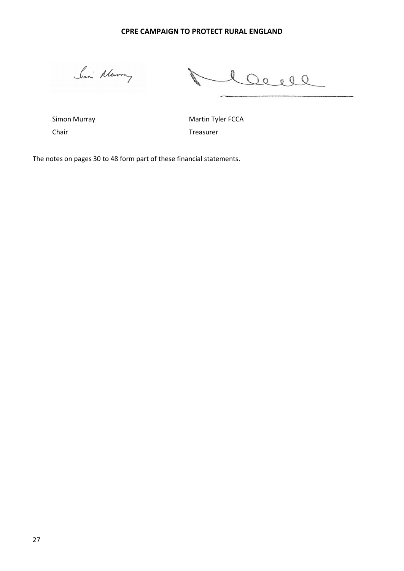Sina Murray

20000  $\subset$ 

Chair **Treasurer** Chair **Treasurer** 

Simon Murray **Martin Tyler FCCA** 

The notes on pages 30 to 48 form part of these financial statements.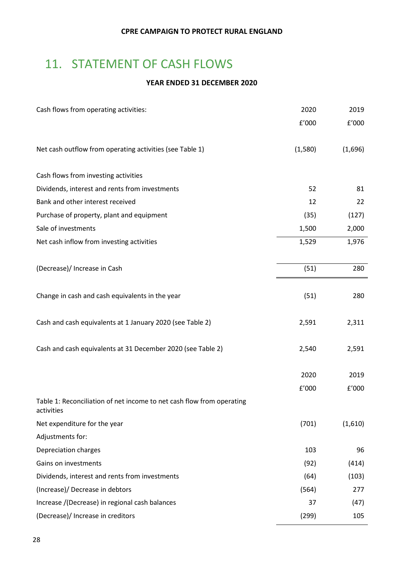# <span id="page-29-0"></span>11. STATEMENT OF CASH FLOWS

#### **YEAR ENDED 31 DECEMBER 2020**

| Cash flows from operating activities:                                               | 2020    | 2019    |
|-------------------------------------------------------------------------------------|---------|---------|
|                                                                                     | f'000   | f'000   |
| Net cash outflow from operating activities (see Table 1)                            | (1,580) | (1,696) |
| Cash flows from investing activities                                                |         |         |
| Dividends, interest and rents from investments                                      | 52      | 81      |
| Bank and other interest received                                                    | 12      | 22      |
| Purchase of property, plant and equipment                                           | (35)    | (127)   |
| Sale of investments                                                                 | 1,500   | 2,000   |
| Net cash inflow from investing activities                                           | 1,529   | 1,976   |
| (Decrease)/ Increase in Cash                                                        | (51)    | 280     |
| Change in cash and cash equivalents in the year                                     | (51)    | 280     |
| Cash and cash equivalents at 1 January 2020 (see Table 2)                           | 2,591   | 2,311   |
| Cash and cash equivalents at 31 December 2020 (see Table 2)                         | 2,540   | 2,591   |
|                                                                                     | 2020    | 2019    |
|                                                                                     | f'000   | f'000   |
| Table 1: Reconciliation of net income to net cash flow from operating<br>activities |         |         |
| Net expenditure for the year                                                        | (701)   | (1,610) |
| Adjustments for:                                                                    |         |         |
| Depreciation charges                                                                | 103     | 96      |
| Gains on investments                                                                | (92)    | (414)   |
| Dividends, interest and rents from investments                                      | (64)    | (103)   |
| (Increase)/ Decrease in debtors                                                     | (564)   | 277     |
| Increase /(Decrease) in regional cash balances                                      | 37      | (47)    |
| (Decrease)/ Increase in creditors                                                   | (299)   | 105     |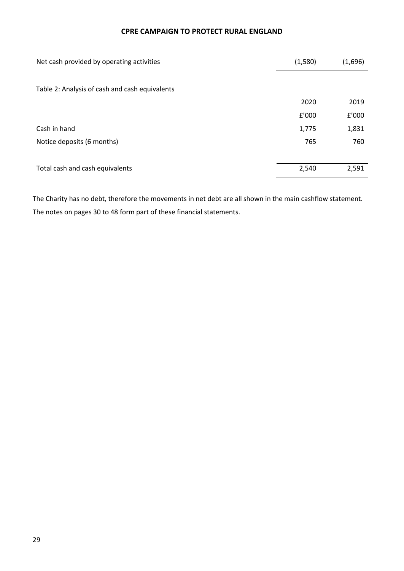| Net cash provided by operating activities      | (1,580) | (1,696) |
|------------------------------------------------|---------|---------|
| Table 2: Analysis of cash and cash equivalents |         |         |
|                                                | 2020    | 2019    |
|                                                | f'000   | f'000   |
| Cash in hand                                   | 1,775   | 1,831   |
| Notice deposits (6 months)                     | 765     | 760     |
|                                                |         |         |
| Total cash and cash equivalents                | 2,540   | 2,591   |

The Charity has no debt, therefore the movements in net debt are all shown in the main cashflow statement. The notes on pages 30 to 48 form part of these financial statements.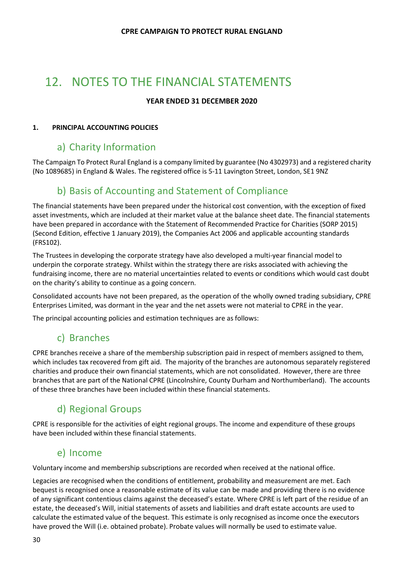# <span id="page-31-0"></span>12. NOTES TO THE FINANCIAL STATEMENTS

#### **YEAR ENDED 31 DECEMBER 2020**

#### **1. PRINCIPAL ACCOUNTING POLICIES**

### a) Charity Information

The Campaign To Protect Rural England is a company limited by guarantee (No 4302973) and a registered charity (No 1089685) in England & Wales. The registered office is 5-11 Lavington Street, London, SE1 9NZ

### b) Basis of Accounting and Statement of Compliance

The financial statements have been prepared under the historical cost convention, with the exception of fixed asset investments, which are included at their market value at the balance sheet date. The financial statements have been prepared in accordance with the Statement of Recommended Practice for Charities (SORP 2015) (Second Edition, effective 1 January 2019), the Companies Act 2006 and applicable accounting standards (FRS102).

The Trustees in developing the corporate strategy have also developed a multi-year financial model to underpin the corporate strategy. Whilst within the strategy there are risks associated with achieving the fundraising income, there are no material uncertainties related to events or conditions which would cast doubt on the charity's ability to continue as a going concern.

Consolidated accounts have not been prepared, as the operation of the wholly owned trading subsidiary, CPRE Enterprises Limited, was dormant in the year and the net assets were not material to CPRE in the year.

The principal accounting policies and estimation techniques are as follows:

### c) Branches

CPRE branches receive a share of the membership subscription paid in respect of members assigned to them, which includes tax recovered from gift aid. The majority of the branches are autonomous separately registered charities and produce their own financial statements, which are not consolidated. However, there are three branches that are part of the National CPRE (Lincolnshire, County Durham and Northumberland). The accounts of these three branches have been included within these financial statements.

### d) Regional Groups

CPRE is responsible for the activities of eight regional groups. The income and expenditure of these groups have been included within these financial statements.

### e) Income

Voluntary income and membership subscriptions are recorded when received at the national office.

Legacies are recognised when the conditions of entitlement, probability and measurement are met. Each bequest is recognised once a reasonable estimate of its value can be made and providing there is no evidence of any significant contentious claims against the deceased's estate. Where CPRE is left part of the residue of an estate, the deceased's Will, initial statements of assets and liabilities and draft estate accounts are used to calculate the estimated value of the bequest. This estimate is only recognised as income once the executors have proved the Will (i.e. obtained probate). Probate values will normally be used to estimate value.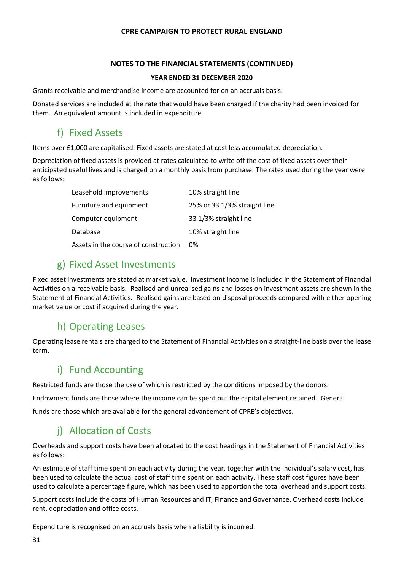#### **NOTES TO THE FINANCIAL STATEMENTS (CONTINUED)**

#### **YEAR ENDED 31 DECEMBER 2020**

Grants receivable and merchandise income are accounted for on an accruals basis.

Donated services are included at the rate that would have been charged if the charity had been invoiced for them. An equivalent amount is included in expenditure.

### f) Fixed Assets

Items over £1,000 are capitalised. Fixed assets are stated at cost less accumulated depreciation.

Depreciation of fixed assets is provided at rates calculated to write off the cost of fixed assets over their anticipated useful lives and is charged on a monthly basis from purchase. The rates used during the year were as follows:

| Leasehold improvements               | 10% straight line            |
|--------------------------------------|------------------------------|
| Furniture and equipment              | 25% or 33 1/3% straight line |
| Computer equipment                   | 33 1/3% straight line        |
| Database                             | 10% straight line            |
| Assets in the course of construction | 0%                           |

### g) Fixed Asset Investments

Fixed asset investments are stated at market value. Investment income is included in the Statement of Financial Activities on a receivable basis. Realised and unrealised gains and losses on investment assets are shown in the Statement of Financial Activities. Realised gains are based on disposal proceeds compared with either opening market value or cost if acquired during the year.

### h) Operating Leases

Operating lease rentals are charged to the Statement of Financial Activities on a straight-line basis over the lease term.

### i) Fund Accounting

Restricted funds are those the use of which is restricted by the conditions imposed by the donors.

Endowment funds are those where the income can be spent but the capital element retained. General

funds are those which are available for the general advancement of CPRE's objectives.

### i) Allocation of Costs

Overheads and support costs have been allocated to the cost headings in the Statement of Financial Activities as follows:

An estimate of staff time spent on each activity during the year, together with the individual's salary cost, has been used to calculate the actual cost of staff time spent on each activity. These staff cost figures have been used to calculate a percentage figure, which has been used to apportion the total overhead and support costs.

Support costs include the costs of Human Resources and IT, Finance and Governance. Overhead costs include rent, depreciation and office costs.

Expenditure is recognised on an accruals basis when a liability is incurred.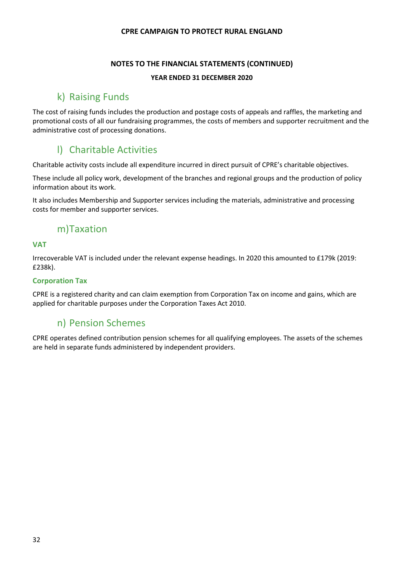#### **NOTES TO THE FINANCIAL STATEMENTS (CONTINUED)**

#### **YEAR ENDED 31 DECEMBER 2020**

### k) Raising Funds

The cost of raising funds includes the production and postage costs of appeals and raffles, the marketing and promotional costs of all our fundraising programmes, the costs of members and supporter recruitment and the administrative cost of processing donations.

### l) Charitable Activities

Charitable activity costs include all expenditure incurred in direct pursuit of CPRE's charitable objectives.

These include all policy work, development of the branches and regional groups and the production of policy information about its work.

It also includes Membership and Supporter services including the materials, administrative and processing costs for member and supporter services.

### m)Taxation

#### **VAT**

Irrecoverable VAT is included under the relevant expense headings. In 2020 this amounted to £179k (2019: £238k).

#### **Corporation Tax**

CPRE is a registered charity and can claim exemption from Corporation Tax on income and gains, which are applied for charitable purposes under the Corporation Taxes Act 2010.

### n) Pension Schemes

CPRE operates defined contribution pension schemes for all qualifying employees. The assets of the schemes are held in separate funds administered by independent providers.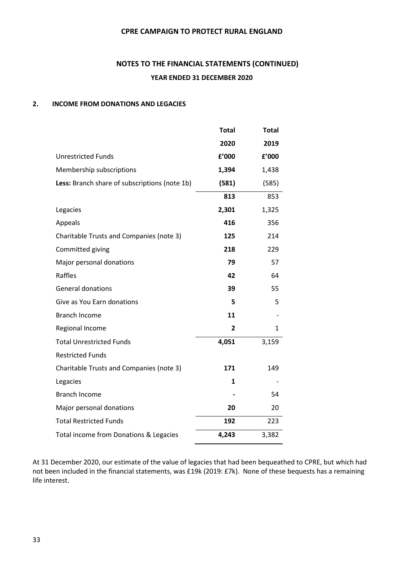### **NOTES TO THE FINANCIAL STATEMENTS (CONTINUED) YEAR ENDED 31 DECEMBER 2020**

#### **2. INCOME FROM DONATIONS AND LEGACIES**

| <b>Total</b>   | <b>Total</b> |
|----------------|--------------|
| 2020           | 2019         |
| £'000          | £'000        |
| 1,394          | 1,438        |
| (581)          | (585)        |
| 813            | 853          |
| 2,301          | 1,325        |
| 416            | 356          |
| 125            | 214          |
| 218            | 229          |
| 79             | 57           |
| 42             | 64           |
| 39             | 55           |
| 5              | 5            |
| 11             |              |
| $\overline{2}$ | 1            |
| 4,051          | 3,159        |
|                |              |
| 171            | 149          |
| 1              |              |
|                | 54           |
| 20             | 20           |
| 192            | 223          |
| 4,243          | 3,382        |
|                |              |

At 31 December 2020, our estimate of the value of legacies that had been bequeathed to CPRE, but which had not been included in the financial statements, was £19k (2019: £7k). None of these bequests has a remaining life interest.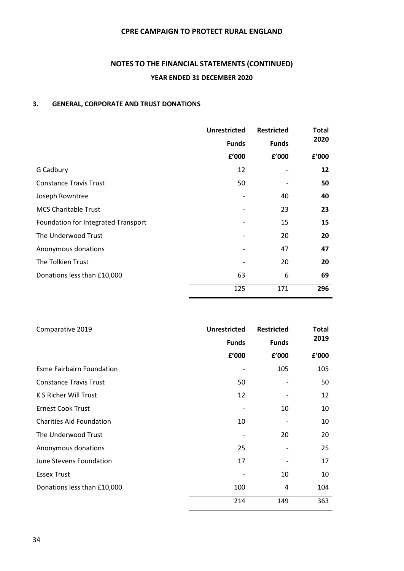### **NOTES TO THE FINANCIAL STATEMENTS (CONTINUED) YEAR ENDED 31 DECEMBER 2020**

#### **3. GENERAL, CORPORATE AND TRUST DONATIONS**

|                                     | <b>Unrestricted</b> | <b>Restricted</b> | <b>Total</b> |
|-------------------------------------|---------------------|-------------------|--------------|
|                                     | <b>Funds</b>        | <b>Funds</b>      | 2020         |
|                                     | £'000               | £'000             | f'000        |
| G Cadbury                           | 12                  |                   | 12           |
| <b>Constance Travis Trust</b>       | 50                  |                   | 50           |
| Joseph Rowntree                     |                     | 40                | 40           |
| <b>MCS Charitable Trust</b>         |                     | 23                | 23           |
| Foundation for Integrated Transport |                     | 15                | 15           |
| The Underwood Trust                 |                     | 20                | 20           |
| Anonymous donations                 |                     | 47                | 47           |
| The Tolkien Trust                   |                     | 20                | 20           |
| Donations less than £10,000         | 63                  | 6                 | 69           |
|                                     | 125                 | 171               | 296          |

| Comparative 2019                | <b>Unrestricted</b> | <b>Restricted</b> | <b>Total</b> |  |
|---------------------------------|---------------------|-------------------|--------------|--|
|                                 | <b>Funds</b>        | <b>Funds</b>      | 2019         |  |
|                                 | f'000               | f'000             | f'000        |  |
| Esme Fairbairn Foundation       |                     | 105               | 105          |  |
| <b>Constance Travis Trust</b>   | 50                  |                   | 50           |  |
| K S Richer Will Trust           | 12                  |                   | 12           |  |
| <b>Ernest Cook Trust</b>        |                     | 10                | 10           |  |
| <b>Charities Aid Foundation</b> | 10                  |                   | 10           |  |
| The Underwood Trust             |                     | 20                | 20           |  |
| Anonymous donations             | 25                  |                   | 25           |  |
| June Stevens Foundation         | 17                  |                   | 17           |  |
| <b>Essex Trust</b>              |                     | 10                | 10           |  |
| Donations less than £10,000     | 100                 | 4                 | 104          |  |
|                                 | 214                 | 149               | 363          |  |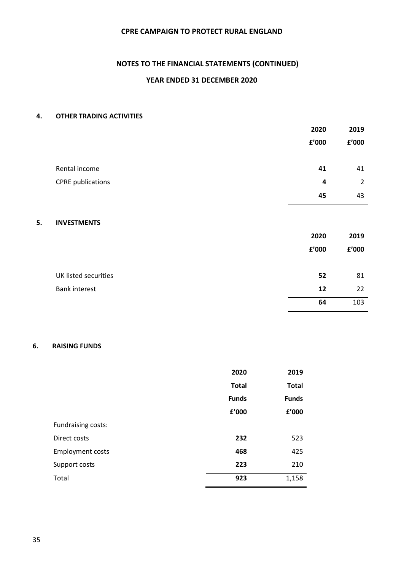### **NOTES TO THE FINANCIAL STATEMENTS (CONTINUED)**

#### **YEAR ENDED 31 DECEMBER 2020**

#### **4. OTHER TRADING ACTIVITIES**

|                             | 2020                  | 2019           |
|-----------------------------|-----------------------|----------------|
|                             | £'000                 | £'000          |
|                             |                       |                |
| Rental income               | 41                    | 41             |
| <b>CPRE</b> publications    | 4                     | $\overline{2}$ |
|                             | 45                    | 43             |
|                             |                       |                |
| 5.<br><b>INVESTMENTS</b>    |                       |                |
|                             | 2020                  | 2019           |
|                             | ${\tt f}^{\prime}000$ | £'000          |
|                             |                       |                |
| <b>UK listed securities</b> | 52                    | 81             |
| <b>Bank interest</b>        | 12                    | 22             |
|                             | 64                    | 103            |

#### **6. RAISING FUNDS**

|                         | 2020         | 2019         |
|-------------------------|--------------|--------------|
|                         | <b>Total</b> | <b>Total</b> |
|                         | <b>Funds</b> | <b>Funds</b> |
|                         | f'000        | f'000        |
| Fundraising costs:      |              |              |
| Direct costs            | 232          | 523          |
| <b>Employment costs</b> | 468          | 425          |
| Support costs           | 223          | 210          |
| Total                   | 923          | 1,158        |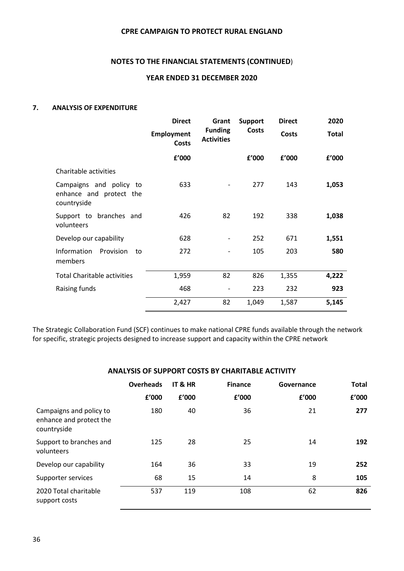#### **NOTES TO THE FINANCIAL STATEMENTS (CONTINUED**)

#### **YEAR ENDED 31 DECEMBER 2020**

#### **7. ANALYSIS OF EXPENDITURE**

|                                                                   | <b>Direct</b><br><b>Employment</b><br><b>Costs</b> | Grant                               | <b>Support</b> | <b>Direct</b> | 2020         |
|-------------------------------------------------------------------|----------------------------------------------------|-------------------------------------|----------------|---------------|--------------|
|                                                                   |                                                    | <b>Funding</b><br><b>Activities</b> | <b>Costs</b>   | <b>Costs</b>  | <b>Total</b> |
|                                                                   | f'000                                              |                                     | f'000          | f'000         | f'000        |
| Charitable activities                                             |                                                    |                                     |                |               |              |
| Campaigns and policy to<br>enhance and protect the<br>countryside | 633                                                |                                     | 277            | 143           | 1,053        |
| Support to branches and<br>volunteers                             | 426                                                | 82                                  | 192            | 338           | 1,038        |
| Develop our capability                                            | 628                                                |                                     | 252            | 671           | 1,551        |
| Information<br>Provision<br>to<br>members                         | 272                                                |                                     | 105            | 203           | 580          |
| <b>Total Charitable activities</b>                                | 1,959                                              | 82                                  | 826            | 1,355         | 4,222        |
| Raising funds                                                     | 468                                                | $\overline{\phantom{a}}$            | 223            | 232           | 923          |
|                                                                   | 2,427                                              | 82                                  | 1,049          | 1,587         | 5,145        |

The Strategic Collaboration Fund (SCF) continues to make national CPRE funds available through the network for specific, strategic projects designed to increase support and capacity within the CPRE network

#### **ANALYSIS OF SUPPORT COSTS BY CHARITABLE ACTIVITY**

|                                                                   | <b>Overheads</b> | IT & HR | <b>Finance</b> | Governance | <b>Total</b> |
|-------------------------------------------------------------------|------------------|---------|----------------|------------|--------------|
|                                                                   | £'000            | f'000   | f'000          | £'000      | f'000        |
| Campaigns and policy to<br>enhance and protect the<br>countryside | 180              | 40      | 36             | 21         | 277          |
| Support to branches and<br>volunteers                             | 125              | 28      | 25             | 14         | 192          |
| Develop our capability                                            | 164              | 36      | 33             | 19         | 252          |
| Supporter services                                                | 68               | 15      | 14             | 8          | 105          |
| 2020 Total charitable<br>support costs                            | 537              | 119     | 108            | 62         | 826          |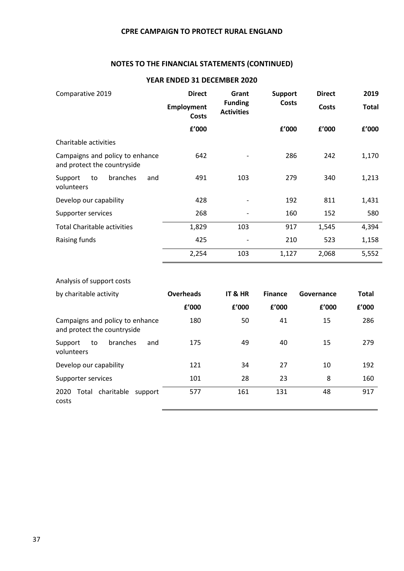#### **NOTES TO THE FINANCIAL STATEMENTS (CONTINUED)**

| Comparative 2019                                               | <b>Direct</b>              | Grant                               | <b>Support</b><br><b>Costs</b> | <b>Direct</b> | 2019         |
|----------------------------------------------------------------|----------------------------|-------------------------------------|--------------------------------|---------------|--------------|
|                                                                | <b>Employment</b><br>Costs | <b>Funding</b><br><b>Activities</b> |                                | <b>Costs</b>  | <b>Total</b> |
|                                                                | f'000                      |                                     | f'000                          | f'000         | f'000        |
| Charitable activities                                          |                            |                                     |                                |               |              |
| Campaigns and policy to enhance<br>and protect the countryside | 642                        |                                     | 286                            | 242           | 1,170        |
| branches<br>Support<br>and<br>to<br>volunteers                 | 491                        | 103                                 | 279                            | 340           | 1,213        |
| Develop our capability                                         | 428                        |                                     | 192                            | 811           | 1,431        |
| Supporter services                                             | 268                        |                                     | 160                            | 152           | 580          |
| <b>Total Charitable activities</b>                             | 1,829                      | 103                                 | 917                            | 1,545         | 4,394        |
| Raising funds                                                  | 425                        |                                     | 210                            | 523           | 1,158        |
|                                                                | 2,254                      | 103                                 | 1,127                          | 2,068         | 5,552        |

#### **YEAR ENDED 31 DECEMBER 2020**

#### Analysis of support costs

| by charitable activity                                         | <b>Overheads</b> | IT & HR | <b>Finance</b> | Governance | <b>Total</b> |
|----------------------------------------------------------------|------------------|---------|----------------|------------|--------------|
|                                                                | £'000            | f'000   | f'000          | f'000      | f'000        |
| Campaigns and policy to enhance<br>and protect the countryside | 180              | 50      | 41             | 15         | 286          |
| branches<br>and<br>to<br>Support<br>volunteers                 | 175              | 49      | 40             | 15         | 279          |
| Develop our capability                                         | 121              | 34      | 27             | 10         | 192          |
| Supporter services                                             | 101              | 28      | 23             | 8          | 160          |
| charitable<br>2020<br>Total<br>support<br>costs                | 577              | 161     | 131            | 48         | 917          |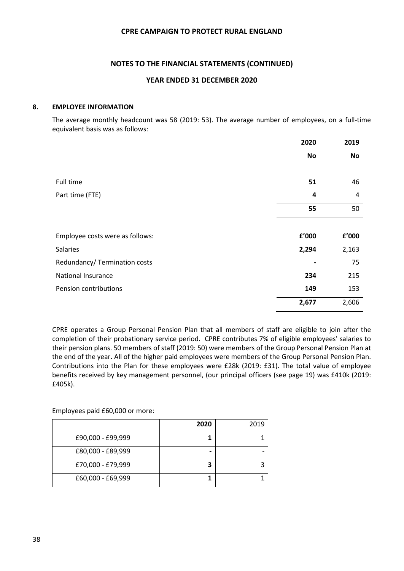#### **NOTES TO THE FINANCIAL STATEMENTS (CONTINUED)**

#### **YEAR ENDED 31 DECEMBER 2020**

#### **8. EMPLOYEE INFORMATION**

The average monthly headcount was 58 (2019: 53). The average number of employees, on a full-time equivalent basis was as follows:

|                                 | 2020      | 2019      |
|---------------------------------|-----------|-----------|
|                                 | <b>No</b> | <b>No</b> |
|                                 |           |           |
| Full time                       | 51        | 46        |
| Part time (FTE)                 | 4         | 4         |
|                                 | 55        | 50        |
|                                 |           |           |
| Employee costs were as follows: | £'000     | £'000     |
| <b>Salaries</b>                 | 2,294     | 2,163     |
| Redundancy/ Termination costs   |           | 75        |
| <b>National Insurance</b>       | 234       | 215       |
| Pension contributions           | 149       | 153       |
|                                 | 2,677     | 2,606     |

CPRE operates a Group Personal Pension Plan that all members of staff are eligible to join after the completion of their probationary service period. CPRE contributes 7% of eligible employees' salaries to their pension plans. 50 members of staff (2019: 50) were members of the Group Personal Pension Plan at the end of the year. All of the higher paid employees were members of the Group Personal Pension Plan. Contributions into the Plan for these employees were £28k (2019: £31). The total value of employee benefits received by key management personnel, (our principal officers (see page 19) was £410k (2019: £405k).

Employees paid £60,000 or more:

|                   | 2020 | 2019 |
|-------------------|------|------|
| £90,000 - £99,999 |      |      |
| £80,000 - £89,999 |      |      |
| £70,000 - £79,999 |      |      |
| £60,000 - £69,999 |      |      |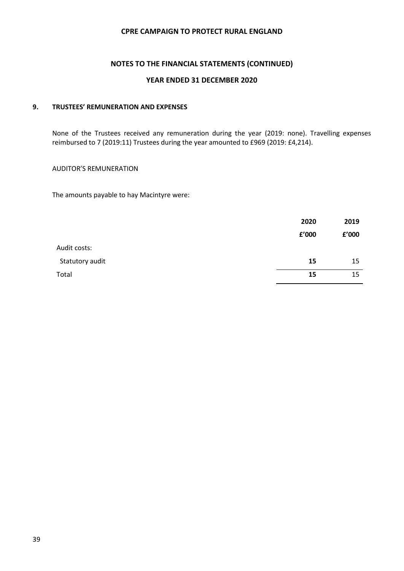#### **NOTES TO THE FINANCIAL STATEMENTS (CONTINUED)**

#### **YEAR ENDED 31 DECEMBER 2020**

#### **9. TRUSTEES' REMUNERATION AND EXPENSES**

None of the Trustees received any remuneration during the year (2019: none). Travelling expenses reimbursed to 7 (2019:11) Trustees during the year amounted to £969 (2019: £4,214).

#### AUDITOR'S REMUNERATION

The amounts payable to hay Macintyre were:

|                 | 2020  | 2019  |
|-----------------|-------|-------|
|                 | f'000 | f'000 |
| Audit costs:    |       |       |
| Statutory audit | 15    | 15    |
| Total           | 15    | 15    |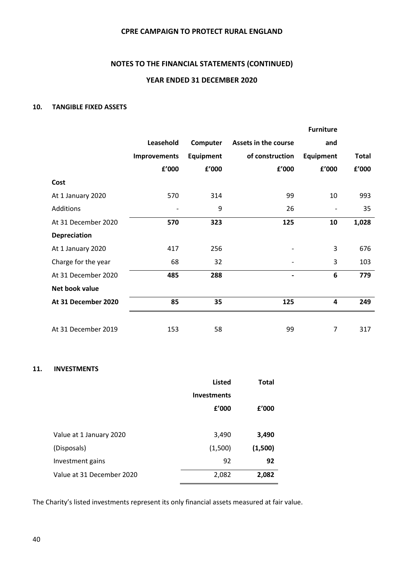#### **NOTES TO THE FINANCIAL STATEMENTS (CONTINUED)**

#### **YEAR ENDED 31 DECEMBER 2020**

#### **10. TANGIBLE FIXED ASSETS**

|                     |              |           |                              | <b>Furniture</b> |              |
|---------------------|--------------|-----------|------------------------------|------------------|--------------|
|                     | Leasehold    | Computer  | Assets in the course         | and              |              |
|                     | Improvements | Equipment | of construction              | Equipment        | <b>Total</b> |
|                     | f'000        | f'000     | f'000                        | f'000            | f'000        |
| Cost                |              |           |                              |                  |              |
| At 1 January 2020   | 570          | 314       | 99                           | 10               | 993          |
| Additions           |              | 9         | 26                           |                  | 35           |
| At 31 December 2020 | 570          | 323       | 125                          | 10               | 1,028        |
| <b>Depreciation</b> |              |           |                              |                  |              |
| At 1 January 2020   | 417          | 256       |                              | 3                | 676          |
| Charge for the year | 68           | 32        |                              | 3                | 103          |
| At 31 December 2020 | 485          | 288       | $\qquad \qquad \blacksquare$ | 6                | 779          |
| Net book value      |              |           |                              |                  |              |
| At 31 December 2020 | 85           | 35        | 125                          | 4                | 249          |
|                     |              |           |                              |                  |              |
| At 31 December 2019 | 153          | 58        | 99                           | $\overline{7}$   | 317          |

#### **11. INVESTMENTS**

|                           | <b>Listed</b>      | <b>Total</b> |
|---------------------------|--------------------|--------------|
|                           | <b>Investments</b> |              |
|                           | f'000              | f'000        |
|                           |                    |              |
| Value at 1 January 2020   | 3,490              | 3,490        |
| (Disposals)               | (1,500)            | (1,500)      |
| Investment gains          | 92                 | 92           |
| Value at 31 December 2020 | 2,082              | 2,082        |

The Charity's listed investments represent its only financial assets measured at fair value.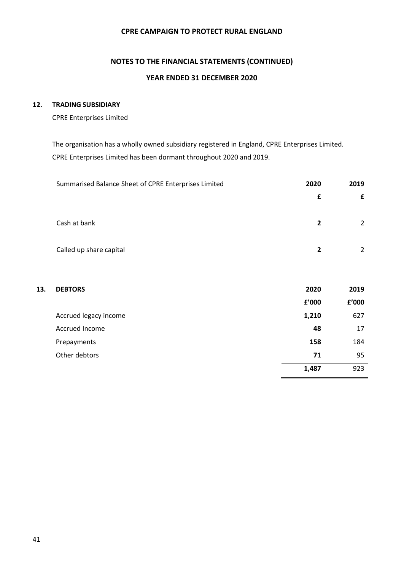### **NOTES TO THE FINANCIAL STATEMENTS (CONTINUED) YEAR ENDED 31 DECEMBER 2020**

#### **12. TRADING SUBSIDIARY**

CPRE Enterprises Limited

The organisation has a wholly owned subsidiary registered in England, CPRE Enterprises Limited. CPRE Enterprises Limited has been dormant throughout 2020 and 2019.

|     | Summarised Balance Sheet of CPRE Enterprises Limited | 2020           | 2019           |
|-----|------------------------------------------------------|----------------|----------------|
|     |                                                      | $\mathbf f$    | £              |
|     | Cash at bank                                         | $\overline{2}$ | $\overline{2}$ |
|     | Called up share capital                              | $\overline{2}$ | $\overline{2}$ |
| 13. | <b>DEBTORS</b>                                       | 2020           | 2019           |
|     |                                                      | £'000          | £'000          |
|     | Accrued legacy income                                | 1,210          | 627            |
|     | Accrued Income                                       | 48             | 17             |
|     | Prepayments                                          | 158            | 184            |
|     | Other debtors                                        | 71             | 95             |
|     |                                                      | 1,487          | 923            |
|     |                                                      |                |                |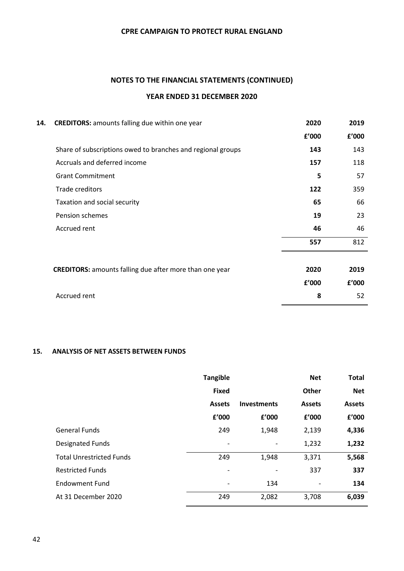### **NOTES TO THE FINANCIAL STATEMENTS (CONTINUED) YEAR ENDED 31 DECEMBER 2020**

| 14. | <b>CREDITORS:</b> amounts falling due within one year          | 2020  | 2019  |
|-----|----------------------------------------------------------------|-------|-------|
|     |                                                                | f'000 | f'000 |
|     | Share of subscriptions owed to branches and regional groups    | 143   | 143   |
|     | Accruals and deferred income                                   | 157   | 118   |
|     | <b>Grant Commitment</b>                                        | 5     | 57    |
|     | Trade creditors                                                | 122   | 359   |
|     | Taxation and social security                                   | 65    | 66    |
|     | Pension schemes                                                | 19    | 23    |
|     | Accrued rent                                                   | 46    | 46    |
|     |                                                                | 557   | 812   |
|     |                                                                |       |       |
|     | <b>CREDITORS:</b> amounts falling due after more than one year | 2020  | 2019  |
|     |                                                                | f'000 | f'000 |
|     | Accrued rent                                                   | 8     | 52    |

#### **15. ANALYSIS OF NET ASSETS BETWEEN FUNDS**

|                                 | <b>Tangible</b> |                          | <b>Net</b>               | <b>Total</b>  |
|---------------------------------|-----------------|--------------------------|--------------------------|---------------|
|                                 | <b>Fixed</b>    |                          | <b>Other</b>             | <b>Net</b>    |
|                                 | <b>Assets</b>   | <b>Investments</b>       | <b>Assets</b>            | <b>Assets</b> |
|                                 | £'000           | £'000                    | £'000                    | £'000         |
| <b>General Funds</b>            | 249             | 1,948                    | 2,139                    | 4,336         |
| <b>Designated Funds</b>         |                 | $\overline{\phantom{a}}$ | 1,232                    | 1,232         |
| <b>Total Unrestricted Funds</b> | 249             | 1,948                    | 3,371                    | 5,568         |
| <b>Restricted Funds</b>         |                 |                          | 337                      | 337           |
| <b>Endowment Fund</b>           |                 | 134                      | $\overline{\phantom{a}}$ | 134           |
| At 31 December 2020             | 249             | 2,082                    | 3,708                    | 6,039         |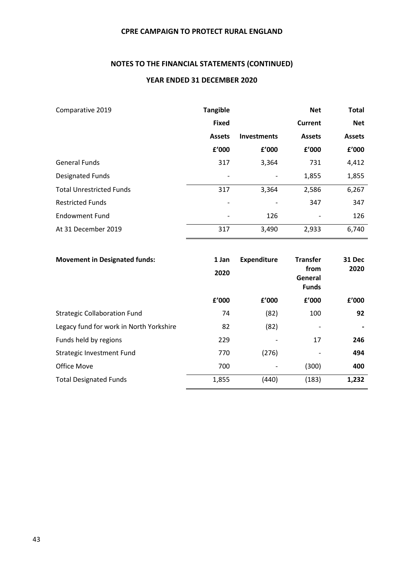#### **NOTES TO THE FINANCIAL STATEMENTS (CONTINUED)**

#### **YEAR ENDED 31 DECEMBER 2020**

| Comparative 2019                | <b>Tangible</b> |                    | <b>Net</b>               | <b>Total</b>  |
|---------------------------------|-----------------|--------------------|--------------------------|---------------|
|                                 | <b>Fixed</b>    |                    | <b>Current</b>           | <b>Net</b>    |
|                                 | <b>Assets</b>   | <b>Investments</b> | <b>Assets</b>            | <b>Assets</b> |
|                                 | £'000           | f'000              | £'000                    | f'000         |
| <b>General Funds</b>            | 317             | 3,364              | 731                      | 4,412         |
| <b>Designated Funds</b>         | ٠               |                    | 1,855                    | 1,855         |
| <b>Total Unrestricted Funds</b> | 317             | 3,364              | 2,586                    | 6,267         |
| <b>Restricted Funds</b>         | ۰               |                    | 347                      | 347           |
| <b>Endowment Fund</b>           | ٠               | 126                | $\overline{\phantom{a}}$ | 126           |
| At 31 December 2019             | 317             | 3,490              | 2,933                    | 6,740         |

| <b>Movement in Designated funds:</b>    | 1 Jan<br>2020 | <b>Expenditure</b>       | <b>Transfer</b><br>from<br>General<br><b>Funds</b> | <b>31 Dec</b><br>2020 |
|-----------------------------------------|---------------|--------------------------|----------------------------------------------------|-----------------------|
|                                         | f'000         | f'000                    | f'000                                              | f'000                 |
| <b>Strategic Collaboration Fund</b>     | 74            | (82)                     | 100                                                | 92                    |
| Legacy fund for work in North Yorkshire | 82            | (82)                     |                                                    |                       |
| Funds held by regions                   | 229           |                          | 17                                                 | 246                   |
| Strategic Investment Fund               | 770           | (276)                    |                                                    | 494                   |
| Office Move                             | 700           | $\overline{\phantom{a}}$ | (300)                                              | 400                   |
| <b>Total Designated Funds</b>           | 1,855         | (440)                    | (183)                                              | 1,232                 |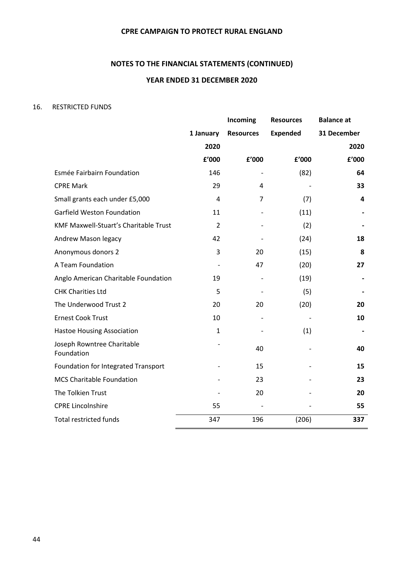#### **NOTES TO THE FINANCIAL STATEMENTS (CONTINUED)**

#### **YEAR ENDED 31 DECEMBER 2020**

#### 16. RESTRICTED FUNDS

|                                          |                | Incoming         | <b>Resources</b> | <b>Balance</b> at |
|------------------------------------------|----------------|------------------|------------------|-------------------|
|                                          | 1 January      | <b>Resources</b> | <b>Expended</b>  | 31 December       |
|                                          | 2020           |                  |                  | 2020              |
|                                          | f'000          | £'000            | f'000            | f'000             |
| Esmée Fairbairn Foundation               | 146            |                  | (82)             | 64                |
| <b>CPRE Mark</b>                         | 29             | $\overline{4}$   |                  | 33                |
| Small grants each under £5,000           | $\overline{4}$ | $\overline{7}$   | (7)              | 4                 |
| Garfield Weston Foundation               | 11             |                  | (11)             |                   |
| KMF Maxwell-Stuart's Charitable Trust    | $\overline{2}$ |                  | (2)              |                   |
| Andrew Mason legacy                      | 42             |                  | (24)             | 18                |
| Anonymous donors 2                       | 3              | 20               | (15)             | 8                 |
| A Team Foundation                        |                | 47               | (20)             | 27                |
| Anglo American Charitable Foundation     | 19             |                  | (19)             |                   |
| <b>CHK Charities Ltd</b>                 | 5              |                  | (5)              |                   |
| The Underwood Trust 2                    | 20             | 20               | (20)             | 20                |
| <b>Ernest Cook Trust</b>                 | 10             |                  |                  | 10                |
| <b>Hastoe Housing Association</b>        | $\mathbf{1}$   |                  | (1)              |                   |
| Joseph Rowntree Charitable<br>Foundation |                | 40               |                  | 40                |
| Foundation for Integrated Transport      |                | 15               |                  | 15                |
| <b>MCS Charitable Foundation</b>         |                | 23               |                  | 23                |
| The Tolkien Trust                        |                | 20               |                  | 20                |
| <b>CPRE Lincolnshire</b>                 | 55             |                  |                  | 55                |
| <b>Total restricted funds</b>            | 347            | 196              | (206)            | 337               |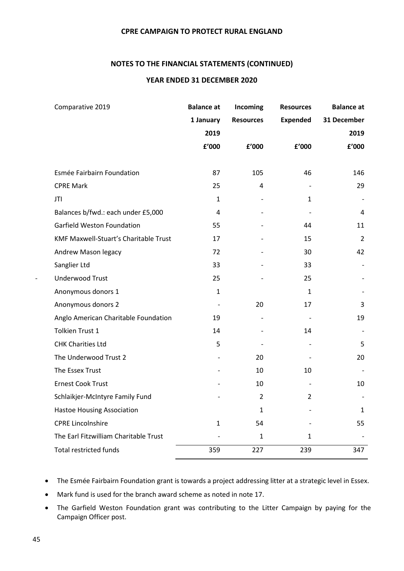#### **NOTES TO THE FINANCIAL STATEMENTS (CONTINUED)**

#### **YEAR ENDED 31 DECEMBER 2020**

| Comparative 2019                      | <b>Balance at</b> | Incoming         | <b>Resources</b> | <b>Balance at</b> |
|---------------------------------------|-------------------|------------------|------------------|-------------------|
|                                       | 1 January         | <b>Resources</b> | <b>Expended</b>  | 31 December       |
|                                       | 2019              |                  |                  | 2019              |
|                                       | f'000             | f'000            | f'000            | f'000             |
|                                       |                   |                  |                  |                   |
| Esmée Fairbairn Foundation            | 87                | 105              | 46               | 146               |
| <b>CPRE Mark</b>                      | 25                | 4                |                  | 29                |
| JTI                                   | $\mathbf{1}$      |                  | $\mathbf{1}$     |                   |
| Balances b/fwd.: each under £5,000    | $\overline{4}$    |                  |                  | 4                 |
| Garfield Weston Foundation            | 55                |                  | 44               | 11                |
| KMF Maxwell-Stuart's Charitable Trust | 17                |                  | 15               | $\overline{2}$    |
| Andrew Mason legacy                   | 72                |                  | 30               | 42                |
| Sanglier Ltd                          | 33                |                  | 33               |                   |
| <b>Underwood Trust</b>                | 25                |                  | 25               |                   |
| Anonymous donors 1                    | $\mathbf{1}$      |                  | $\mathbf{1}$     |                   |
| Anonymous donors 2                    |                   | 20               | 17               | 3                 |
| Anglo American Charitable Foundation  | 19                |                  |                  | 19                |
| Tolkien Trust 1                       | 14                |                  | 14               |                   |
| <b>CHK Charities Ltd</b>              | 5                 |                  |                  | 5                 |
| The Underwood Trust 2                 |                   | 20               |                  | 20                |
| The Essex Trust                       |                   | 10               | 10               |                   |
| <b>Ernest Cook Trust</b>              |                   | 10               |                  | 10                |
| Schlaikjer-McIntyre Family Fund       |                   | $\overline{2}$   | $\overline{2}$   |                   |
| <b>Hastoe Housing Association</b>     |                   | 1                |                  | 1                 |
| <b>CPRE Lincolnshire</b>              | $\mathbf{1}$      | 54               |                  | 55                |
| The Earl Fitzwilliam Charitable Trust |                   | $\mathbf{1}$     | 1                |                   |
| <b>Total restricted funds</b>         | 359               | 227              | 239              | 347               |
|                                       |                   |                  |                  |                   |

• The Esmée Fairbairn Foundation grant is towards a project addressing litter at a strategic level in Essex.

• Mark fund is used for the branch award scheme as noted in note 17.

• The Garfield Weston Foundation grant was contributing to the Litter Campaign by paying for the Campaign Officer post.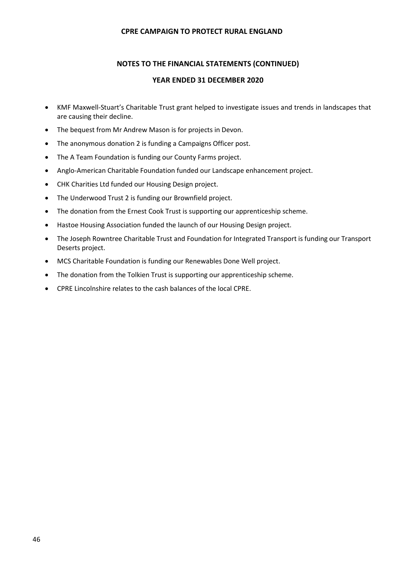#### **NOTES TO THE FINANCIAL STATEMENTS (CONTINUED)**

#### **YEAR ENDED 31 DECEMBER 2020**

- KMF Maxwell-Stuart's Charitable Trust grant helped to investigate issues and trends in landscapes that are causing their decline.
- The bequest from Mr Andrew Mason is for projects in Devon.
- The anonymous donation 2 is funding a Campaigns Officer post.
- The A Team Foundation is funding our County Farms project.
- Anglo-American Charitable Foundation funded our Landscape enhancement project.
- CHK Charities Ltd funded our Housing Design project.
- The Underwood Trust 2 is funding our Brownfield project.
- The donation from the Ernest Cook Trust is supporting our apprenticeship scheme.
- Hastoe Housing Association funded the launch of our Housing Design project.
- The Joseph Rowntree Charitable Trust and Foundation for Integrated Transport is funding our Transport Deserts project.
- MCS Charitable Foundation is funding our Renewables Done Well project.
- The donation from the Tolkien Trust is supporting our apprenticeship scheme.
- CPRE Lincolnshire relates to the cash balances of the local CPRE.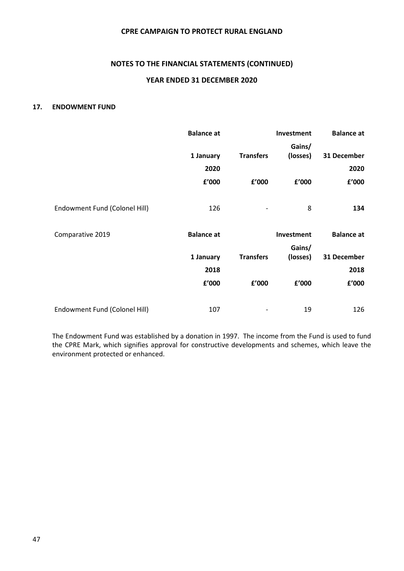#### **NOTES TO THE FINANCIAL STATEMENTS (CONTINUED)**

#### **YEAR ENDED 31 DECEMBER 2020**

#### **17. ENDOWMENT FUND**

|                               | <b>Balance at</b> |                  | Investment | <b>Balance at</b> |
|-------------------------------|-------------------|------------------|------------|-------------------|
|                               |                   |                  | Gains/     |                   |
|                               | 1 January         | <b>Transfers</b> | (losses)   | 31 December       |
|                               | 2020              |                  |            | 2020              |
|                               | f'000             | f'000            | f'000      | f'000             |
|                               |                   |                  |            |                   |
| Endowment Fund (Colonel Hill) | 126               |                  | 8          | 134               |
|                               |                   |                  |            |                   |
| Comparative 2019              | <b>Balance at</b> |                  | Investment | <b>Balance at</b> |
|                               |                   |                  | Gains/     |                   |
|                               | 1 January         | <b>Transfers</b> | (losses)   | 31 December       |
|                               | 2018              |                  |            | 2018              |
|                               | f'000             | f'000            | f'000      | f'000             |
|                               |                   |                  |            |                   |
| Endowment Fund (Colonel Hill) | 107               |                  | 19         | 126               |

The Endowment Fund was established by a donation in 1997. The income from the Fund is used to fund the CPRE Mark, which signifies approval for constructive developments and schemes, which leave the environment protected or enhanced.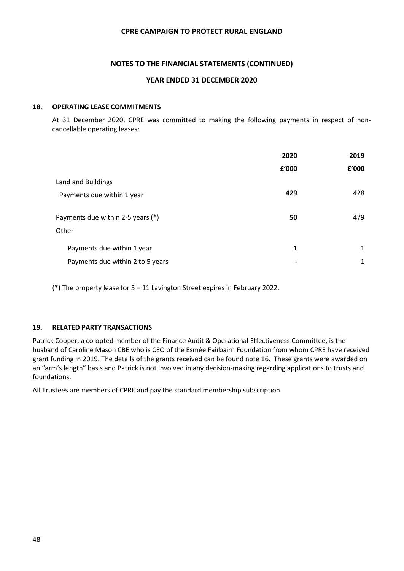#### **NOTES TO THE FINANCIAL STATEMENTS (CONTINUED)**

#### **YEAR ENDED 31 DECEMBER 2020**

#### **18. OPERATING LEASE COMMITMENTS**

At 31 December 2020, CPRE was committed to making the following payments in respect of noncancellable operating leases:

|                                   | 2020  | 2019  |
|-----------------------------------|-------|-------|
|                                   | £'000 | f'000 |
| Land and Buildings                |       |       |
| Payments due within 1 year        | 429   | 428   |
| Payments due within 2-5 years (*) | 50    | 479   |
| Other                             |       |       |
| Payments due within 1 year        | 1     | 1     |
| Payments due within 2 to 5 years  |       | 1     |

(\*) The property lease for 5 – 11 Lavington Street expires in February 2022.

#### **19. RELATED PARTY TRANSACTIONS**

Patrick Cooper, a co-opted member of the Finance Audit & Operational Effectiveness Committee, is the husband of Caroline Mason CBE who is CEO of the Esmée Fairbairn Foundation from whom CPRE have received grant funding in 2019. The details of the grants received can be found note 16. These grants were awarded on an "arm's length" basis and Patrick is not involved in any decision-making regarding applications to trusts and foundations.

All Trustees are members of CPRE and pay the standard membership subscription.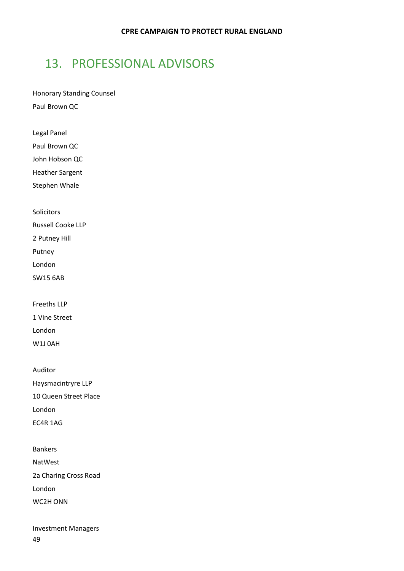# <span id="page-50-0"></span>13. PROFESSIONAL ADVISORS

Honorary Standing Counsel Paul Brown QC

Legal Panel

Paul Brown QC

John Hobson QC

Heather Sargent

Stephen Whale

Solicitors

Russell Cooke LLP

2 Putney Hill

Putney

London

SW15 6AB

Freeths LLP

1 Vine Street

London

W1J 0AH

Auditor Haysmacintryre LLP 10 Queen Street Place London EC4R 1AG

Bankers NatWest 2a Charing Cross Road London WC2H ONN

49 Investment Managers